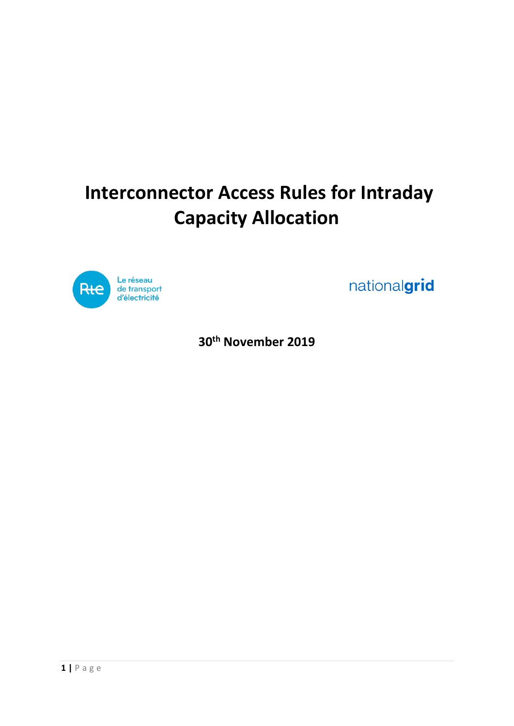# **Interconnector Access Rules for Intraday Capacity Allocation**



nationalgrid

**30th November 2019**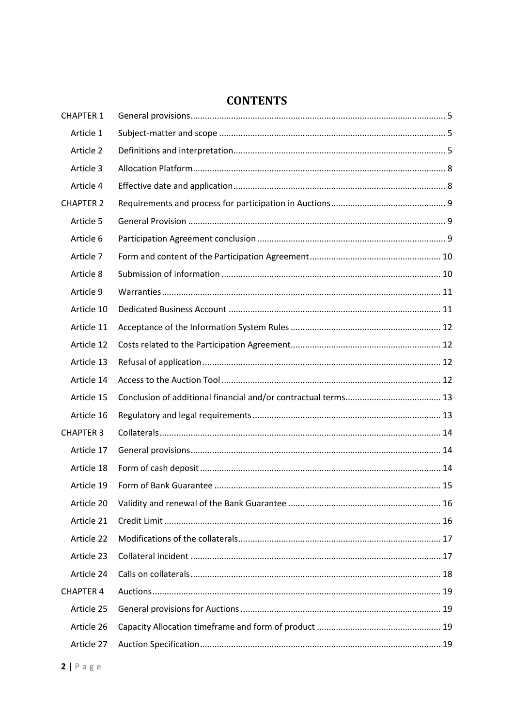### **CONTENTS**

| <b>CHAPTER 1</b> |  |
|------------------|--|
| Article 1        |  |
| Article 2        |  |
| Article 3        |  |
| Article 4        |  |
| <b>CHAPTER 2</b> |  |
| Article 5        |  |
| Article 6        |  |
| Article 7        |  |
| Article 8        |  |
| Article 9        |  |
| Article 10       |  |
| Article 11       |  |
| Article 12       |  |
| Article 13       |  |
| Article 14       |  |
| Article 15       |  |
| Article 16       |  |
| <b>CHAPTER 3</b> |  |
| Article 17       |  |
| Article 18       |  |
| Article 19       |  |
| Article 20       |  |
| Article 21       |  |
| Article 22       |  |
| Article 23       |  |
| Article 24       |  |
| <b>CHAPTER 4</b> |  |
| Article 25       |  |
| Article 26       |  |
| Article 27       |  |
|                  |  |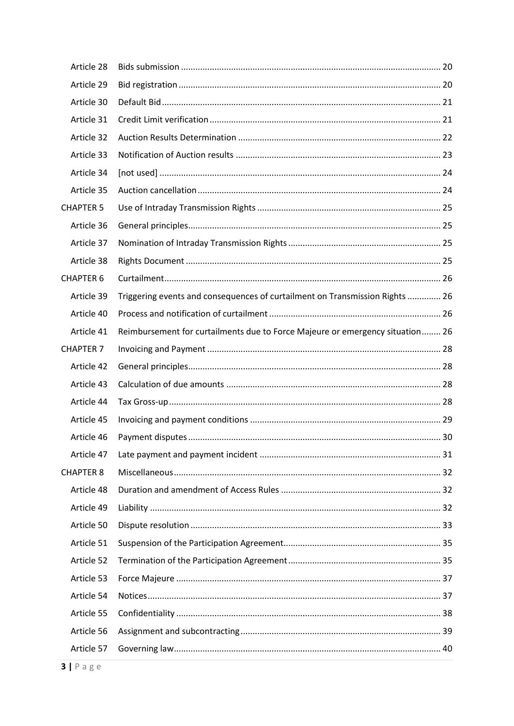| Article 28       |                                                                               |  |
|------------------|-------------------------------------------------------------------------------|--|
| Article 29       |                                                                               |  |
| Article 30       |                                                                               |  |
| Article 31       |                                                                               |  |
| Article 32       |                                                                               |  |
| Article 33       |                                                                               |  |
| Article 34       |                                                                               |  |
| Article 35       |                                                                               |  |
| <b>CHAPTER 5</b> |                                                                               |  |
| Article 36       |                                                                               |  |
| Article 37       |                                                                               |  |
| Article 38       |                                                                               |  |
| <b>CHAPTER 6</b> |                                                                               |  |
| Article 39       | Triggering events and consequences of curtailment on Transmission Rights  26  |  |
| Article 40       |                                                                               |  |
| Article 41       | Reimbursement for curtailments due to Force Majeure or emergency situation 26 |  |
| <b>CHAPTER 7</b> |                                                                               |  |
| Article 42       |                                                                               |  |
| Article 43       |                                                                               |  |
| Article 44       |                                                                               |  |
| Article 45       |                                                                               |  |
| Article 46       |                                                                               |  |
| Article 47       |                                                                               |  |
| <b>CHAPTER 8</b> |                                                                               |  |
| Article 48       |                                                                               |  |
| Article 49       |                                                                               |  |
| Article 50       |                                                                               |  |
| Article 51       |                                                                               |  |
| Article 52       |                                                                               |  |
| Article 53       |                                                                               |  |
| Article 54       |                                                                               |  |
| Article 55       |                                                                               |  |
| Article 56       |                                                                               |  |
| Article 57       |                                                                               |  |
|                  |                                                                               |  |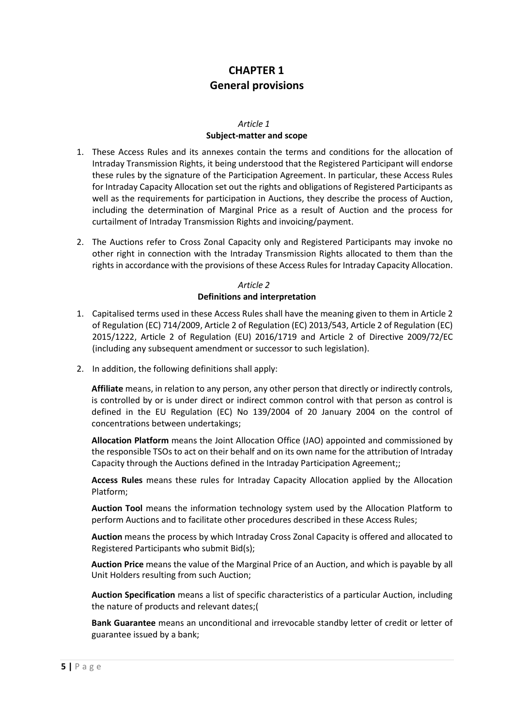### **CHAPTER 1 General provisions**

#### *Article 1*

### **Subject-matter and scope**

- <span id="page-4-1"></span><span id="page-4-0"></span>1. These Access Rules and its annexes contain the terms and conditions for the allocation of Intraday Transmission Rights, it being understood that the Registered Participant will endorse these rules by the signature of the Participation Agreement. In particular, these Access Rules for Intraday Capacity Allocation set out the rights and obligations of Registered Participants as well as the requirements for participation in Auctions, they describe the process of Auction, including the determination of Marginal Price as a result of Auction and the process for curtailment of Intraday Transmission Rights and invoicing/payment.
- 2. The Auctions refer to Cross Zonal Capacity only and Registered Participants may invoke no other right in connection with the Intraday Transmission Rights allocated to them than the rights in accordance with the provisions of these Access Rules for Intraday Capacity Allocation.

### *Article 2* **Definitions and interpretation**

- <span id="page-4-2"></span>1. Capitalised terms used in these Access Rules shall have the meaning given to them in Article 2 of Regulation (EC) 714/2009, Article 2 of Regulation (EC) 2013/543, Article 2 of Regulation (EC) 2015/1222, Article 2 of Regulation (EU) 2016/1719 and Article 2 of Directive 2009/72/EC (including any subsequent amendment or successor to such legislation).
- 2. In addition, the following definitions shall apply:

**Affiliate** means, in relation to any person, any other person that directly or indirectly controls, is controlled by or is under direct or indirect common control with that person as control is defined in the EU Regulation (EC) No 139/2004 of 20 January 2004 on the control of concentrations between undertakings;

**Allocation Platform** means the Joint Allocation Office (JAO) appointed and commissioned by the responsible TSOs to act on their behalf and on its own name for the attribution of Intraday Capacity through the Auctions defined in the Intraday Participation Agreement;;

**Access Rules** means these rules for Intraday Capacity Allocation applied by the Allocation Platform;

**Auction Tool** means the information technology system used by the Allocation Platform to perform Auctions and to facilitate other procedures described in these Access Rules;

**Auction** means the process by which Intraday Cross Zonal Capacity is offered and allocated to Registered Participants who submit Bid(s);

**Auction Price** means the value of the Marginal Price of an Auction, and which is payable by all Unit Holders resulting from such Auction;

**Auction Specification** means a list of specific characteristics of a particular Auction, including the nature of products and relevant dates;(

**Bank Guarantee** means an unconditional and irrevocable standby letter of credit or letter of guarantee issued by a bank;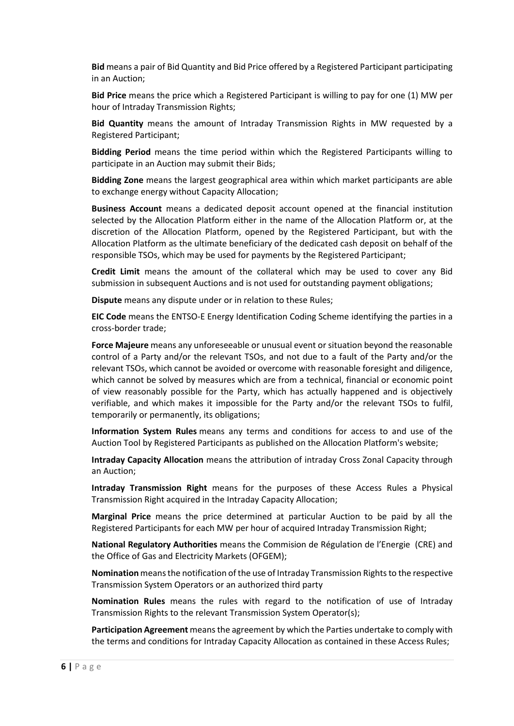**Bid** means a pair of Bid Quantity and Bid Price offered by a Registered Participant participating in an Auction;

**Bid Price** means the price which a Registered Participant is willing to pay for one (1) MW per hour of Intraday Transmission Rights;

**Bid Quantity** means the amount of Intraday Transmission Rights in MW requested by a Registered Participant;

**Bidding Period** means the time period within which the Registered Participants willing to participate in an Auction may submit their Bids;

**Bidding Zone** means the largest geographical area within which market participants are able to exchange energy without Capacity Allocation;

**Business Account** means a dedicated deposit account opened at the financial institution selected by the Allocation Platform either in the name of the Allocation Platform or, at the discretion of the Allocation Platform, opened by the Registered Participant, but with the Allocation Platform as the ultimate beneficiary of the dedicated cash deposit on behalf of the responsible TSOs, which may be used for payments by the Registered Participant;

**Credit Limit** means the amount of the collateral which may be used to cover any Bid submission in subsequent Auctions and is not used for outstanding payment obligations;

**Dispute** means any dispute under or in relation to these Rules;

**EIC Code** means the ENTSO-E Energy Identification Coding Scheme identifying the parties in a cross-border trade;

**Force Majeure** means any unforeseeable or unusual event or situation beyond the reasonable control of a Party and/or the relevant TSOs, and not due to a fault of the Party and/or the relevant TSOs, which cannot be avoided or overcome with reasonable foresight and diligence, which cannot be solved by measures which are from a technical, financial or economic point of view reasonably possible for the Party, which has actually happened and is objectively verifiable, and which makes it impossible for the Party and/or the relevant TSOs to fulfil, temporarily or permanently, its obligations;

**Information System Rules** means any terms and conditions for access to and use of the Auction Tool by Registered Participants as published on the Allocation Platform's website;

**Intraday Capacity Allocation** means the attribution of intraday Cross Zonal Capacity through an Auction;

**Intraday Transmission Right** means for the purposes of these Access Rules a Physical Transmission Right acquired in the Intraday Capacity Allocation;

**Marginal Price** means the price determined at particular Auction to be paid by all the Registered Participants for each MW per hour of acquired Intraday Transmission Right;

**National Regulatory Authorities** means the Commision de Régulation de l'Energie (CRE) and the Office of Gas and Electricity Markets (OFGEM);

**Nomination** means the notification of the use of Intraday Transmission Rights to the respective Transmission System Operators or an authorized third party

**Nomination Rules** means the rules with regard to the notification of use of Intraday Transmission Rights to the relevant Transmission System Operator(s);

**Participation Agreement** means the agreement by which the Parties undertake to comply with the terms and conditions for Intraday Capacity Allocation as contained in these Access Rules;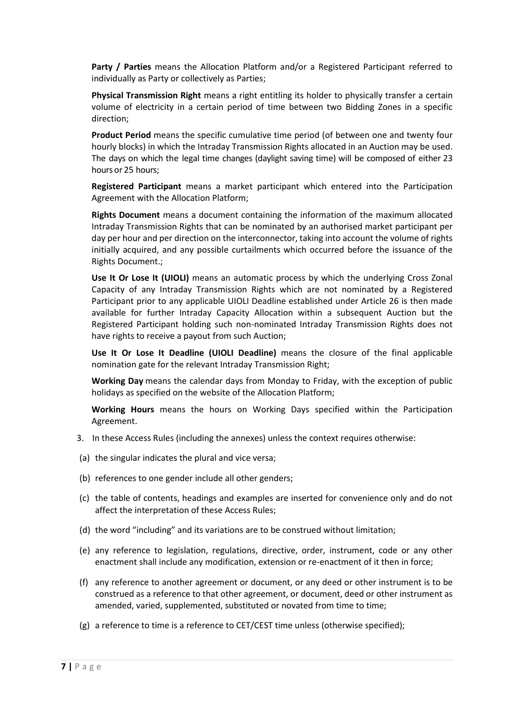**Party / Parties** means the Allocation Platform and/or a Registered Participant referred to individually as Party or collectively as Parties;

**Physical Transmission Right** means a right entitling its holder to physically transfer a certain volume of electricity in a certain period of time between two Bidding Zones in a specific direction;

**Product Period** means the specific cumulative time period (of between one and twenty four hourly blocks) in which the Intraday Transmission Rights allocated in an Auction may be used. The days on which the legal time changes (daylight saving time) will be composed of either 23 hours or 25 hours;

**Registered Participant** means a market participant which entered into the Participation Agreement with the Allocation Platform;

**Rights Document** means a document containing the information of the maximum allocated Intraday Transmission Rights that can be nominated by an authorised market participant per day per hour and per direction on the interconnector, taking into account the volume of rights initially acquired, and any possible curtailments which occurred before the issuance of the Rights Document.;

**Use It Or Lose It (UIOLI)** means an automatic process by which the underlying Cross Zonal Capacity of any Intraday Transmission Rights which are not nominated by a Registered Participant prior to any applicable UIOLI Deadline established under Article 26 is then made available for further Intraday Capacity Allocation within a subsequent Auction but the Registered Participant holding such non-nominated Intraday Transmission Rights does not have rights to receive a payout from such Auction;

**Use It Or Lose It Deadline (UIOLI Deadline)** means the closure of the final applicable nomination gate for the relevant Intraday Transmission Right;

**Working Day** means the calendar days from Monday to Friday, with the exception of public holidays as specified on the website of the Allocation Platform;

**Working Hours** means the hours on Working Days specified within the Participation Agreement.

- 3. In these Access Rules (including the annexes) unless the context requires otherwise:
- (a) the singular indicates the plural and vice versa;
- (b) references to one gender include all other genders;
- (c) the table of contents, headings and examples are inserted for convenience only and do not affect the interpretation of these Access Rules;
- (d) the word "including" and its variations are to be construed without limitation;
- (e) any reference to legislation, regulations, directive, order, instrument, code or any other enactment shall include any modification, extension or re-enactment of it then in force;
- (f) any reference to another agreement or document, or any deed or other instrument is to be construed as a reference to that other agreement, or document, deed or other instrument as amended, varied, supplemented, substituted or novated from time to time;
- (g) a reference to time is a reference to CET/CEST time unless (otherwise specified);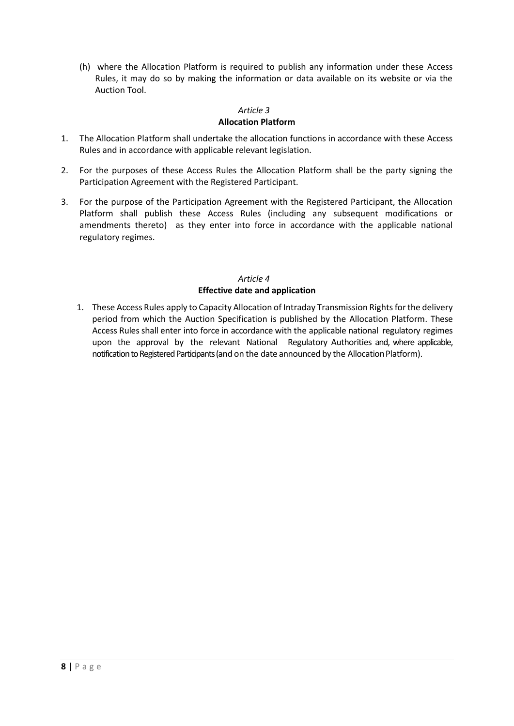(h) where the Allocation Platform is required to publish any information under these Access Rules, it may do so by making the information or data available on its website or via the Auction Tool.

## *Article 3*

### **Allocation Platform**

- <span id="page-7-0"></span>1. The Allocation Platform shall undertake the allocation functions in accordance with these Access Rules and in accordance with applicable relevant legislation.
- 2. For the purposes of these Access Rules the Allocation Platform shall be the party signing the Participation Agreement with the Registered Participant.
- 3. For the purpose of the Participation Agreement with the Registered Participant, the Allocation Platform shall publish these Access Rules (including any subsequent modifications or amendments thereto) as they enter into force in accordance with the applicable national regulatory regimes.

### *Article 4* **Effective date and application**

<span id="page-7-1"></span>1. These Access Rules apply to Capacity Allocation of Intraday Transmission Rights for the delivery period from which the Auction Specification is published by the Allocation Platform. These Access Rules shall enter into force in accordance with the applicable national regulatory regimes upon the approval by the relevant National Regulatory Authorities and, where applicable, notification to Registered Participants (and on the date announced by the Allocation Platform).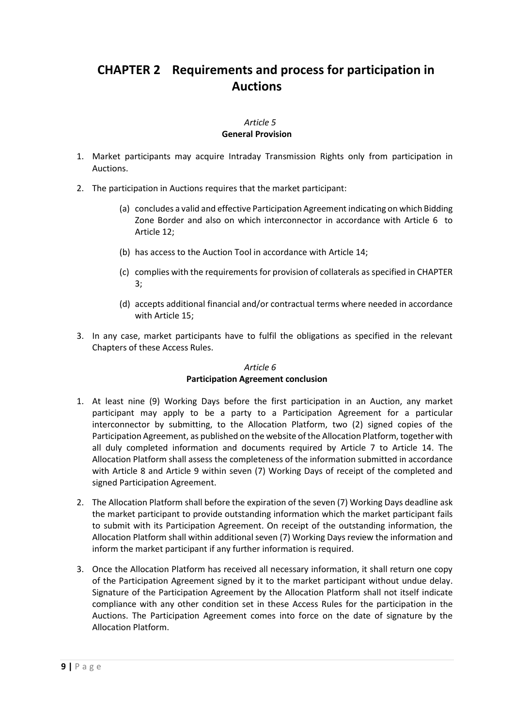# <span id="page-8-0"></span>**CHAPTER 2 Requirements and process for participation in Auctions**

### *Article 5* **General Provision**

- <span id="page-8-1"></span>1. Market participants may acquire Intraday Transmission Rights only from participation in Auctions.
- 2. The participation in Auctions requires that the market participant:
	- (a) concludes a valid and effective Participation Agreement indicating on which Bidding Zone Border and also on which interconnector in accordance with [Article 6](#page-8-2) to [Article 12;](#page-11-1)
	- (b) has access to the Auction Tool in accordance with [Article 14;](#page-11-3)
	- (c) complies with the requirements for provision of collaterals as specified i[n CHAPTER](#page-13-3)  [3;](#page-13-3)
	- (d) accepts additional financial and/or contractual terms where needed in accordance wit[h Article 15;](#page-12-0)
- 3. In any case, market participants have to fulfil the obligations as specified in the relevant Chapters of these Access Rules.

### *Article 6*

### **Participation Agreement conclusion**

- <span id="page-8-2"></span>1. At least nine (9) Working Days before the first participation in an Auction, any market participant may apply to be a party to a Participation Agreement for a particular interconnector by submitting, to the Allocation Platform, two (2) signed copies of the Participation Agreement, as published on the website of the Allocation Platform, together with all duly completed information and documents required by [Article 7](#page-9-0) to Article 14. The Allocation Platform shall assess the completeness of the information submitted in accordance with Article [8](#page-9-1) and Article 9 within seven (7) Working Days of receipt of the completed and signed Participation Agreement.
- 2. The Allocation Platform shall before the expiration of the seven (7) Working Days deadline ask the market participant to provide outstanding information which the market participant fails to submit with its Participation Agreement. On receipt of the outstanding information, the Allocation Platform shall within additional seven (7) Working Days review the information and inform the market participant if any further information is required.
- 3. Once the Allocation Platform has received all necessary information, it shall return one copy of the Participation Agreement signed by it to the market participant without undue delay. Signature of the Participation Agreement by the Allocation Platform shall not itself indicate compliance with any other condition set in these Access Rules for the participation in the Auctions. The Participation Agreement comes into force on the date of signature by the Allocation Platform.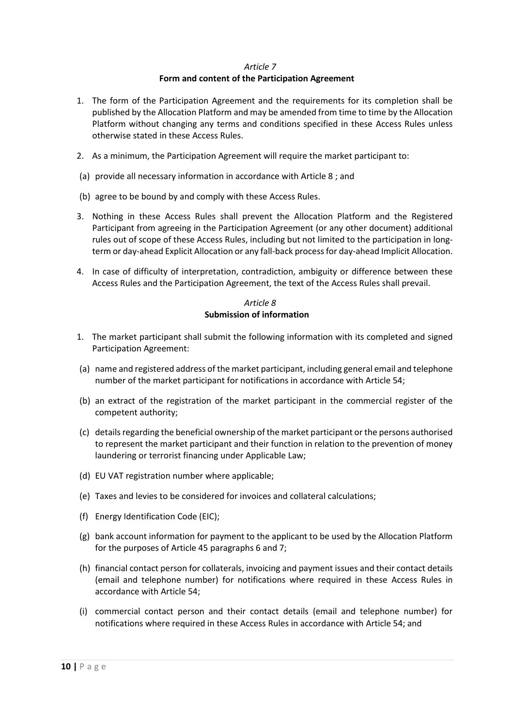### *Article 7* **Form and content of the Participation Agreement**

- <span id="page-9-0"></span>1. The form of the Participation Agreement and the requirements for its completion shall be published by the Allocation Platform and may be amended from time to time by the Allocation Platform without changing any terms and conditions specified in these Access Rules unless otherwise stated in these Access Rules.
- 2. As a minimum, the Participation Agreement will require the market participant to:
- (a) provide all necessary information in accordance wit[h Article 8](#page-9-1) ; and
- (b) agree to be bound by and comply with these Access Rules.
- 3. Nothing in these Access Rules shall prevent the Allocation Platform and the Registered Participant from agreeing in the Participation Agreement (or any other document) additional rules out of scope of these Access Rules, including but not limited to the participation in longterm or day-ahead Explicit Allocation or any fall-back process for day-ahead Implicit Allocation.
- 4. In case of difficulty of interpretation, contradiction, ambiguity or difference between these Access Rules and the Participation Agreement, the text of the Access Rules shall prevail.

### *Article 8* **Submission of information**

- <span id="page-9-2"></span><span id="page-9-1"></span>1. The market participant shall submit the following information with its completed and signed Participation Agreement:
- (a) name and registered address of the market participant, including general email and telephone number of the market participant for notifications in accordance wit[h Article 54;](#page-36-1)
- (b) an extract of the registration of the market participant in the commercial register of the competent authority;
- (c) details regarding the beneficial ownership of the market participant or the persons authorised to represent the market participant and their function in relation to the prevention of money laundering or terrorist financing under Applicable Law;
- (d) EU VAT registration number where applicable;
- (e) Taxes and levies to be considered for invoices and collateral calculations;
- (f) Energy Identification Code (EIC);
- <span id="page-9-3"></span>(g) bank account information for payment to the applicant to be used by the Allocation Platform for the purposes of [Article 45](#page-28-0) paragraphs [6](#page-28-1) and [7;](#page-29-1)
- (h) financial contact person for collaterals, invoicing and payment issues and their contact details (email and telephone number) for notifications where required in these Access Rules in accordance with [Article 54;](#page-36-1)
- (i) commercial contact person and their contact details (email and telephone number) for notifications where required in these Access Rules in accordance with [Article 54;](#page-36-1) and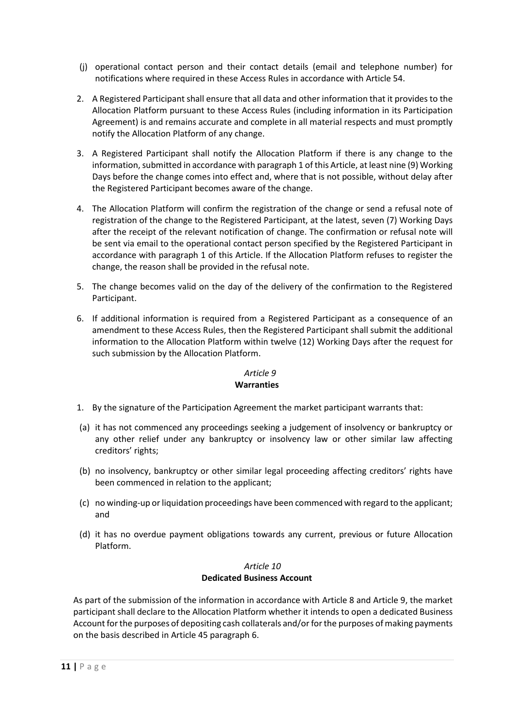- (j) operational contact person and their contact details (email and telephone number) for notifications where required in these Access Rules in accordance with [Article 54.](#page-36-1)
- 2. A Registered Participant shall ensure that all data and other information that it provides to the Allocation Platform pursuant to these Access Rules (including information in its Participation Agreement) is and remains accurate and complete in all material respects and must promptly notify the Allocation Platform of any change.
- 3. A Registered Participant shall notify the Allocation Platform if there is any change to the information, submitted in accordance with paragraph [1](#page-9-2) of this Article, at least nine (9) Working Days before the change comes into effect and, where that is not possible, without delay after the Registered Participant becomes aware of the change.
- 4. The Allocation Platform will confirm the registration of the change or send a refusal note of registration of the change to the Registered Participant, at the latest, seven (7) Working Days after the receipt of the relevant notification of change. The confirmation or refusal note will be sent via email to the operational contact person specified by the Registered Participant in accordance with paragraph [1](#page-9-2) of this Article. If the Allocation Platform refuses to register the change, the reason shall be provided in the refusal note.
- 5. The change becomes valid on the day of the delivery of the confirmation to the Registered Participant.
- 6. If additional information is required from a Registered Participant as a consequence of an amendment to these Access Rules, then the Registered Participant shall submit the additional information to the Allocation Platform within twelve (12) Working Days after the request for such submission by the Allocation Platform.

#### *Article 9* **Warranties**

- <span id="page-10-0"></span>1. By the signature of the Participation Agreement the market participant warrants that:
- (a) it has not commenced any proceedings seeking a judgement of insolvency or bankruptcy or any other relief under any bankruptcy or insolvency law or other similar law affecting creditors' rights;
- (b) no insolvency, bankruptcy or other similar legal proceeding affecting creditors' rights have been commenced in relation to the applicant;
- (c) no winding-up or liquidation proceedings have been commenced with regard to the applicant; and
- (d) it has no overdue payment obligations towards any current, previous or future Allocation Platform.

### *Article 10* **Dedicated Business Account**

<span id="page-10-1"></span>As part of the submission of the information in accordance with [Article 8](#page-9-1) and [Article](#page-10-0) 9, the market participant shall declare to the Allocation Platform whether it intends to open a dedicated Business Account for the purposes of depositing cash collaterals and/or for the purposes of making payments on the basis described in [Article 45](#page-28-0) paragrap[h 6.](#page-28-1)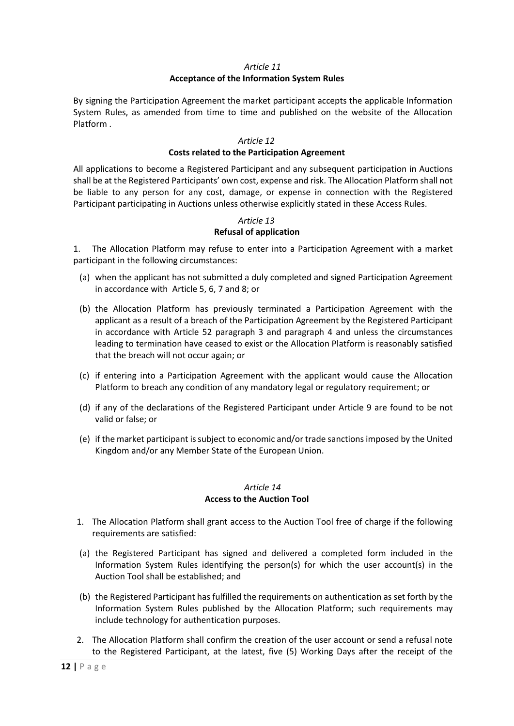### *Article 11* **Acceptance of the Information System Rules**

<span id="page-11-0"></span>By signing the Participation Agreement the market participant accepts the applicable Information System Rules, as amended from time to time and published on the website of the Allocation Platform .

### *Article 12*

### **Costs related to the Participation Agreement**

<span id="page-11-1"></span>All applications to become a Registered Participant and any subsequent participation in Auctions shall be at the Registered Participants' own cost, expense and risk. The Allocation Platform shall not be liable to any person for any cost, damage, or expense in connection with the Registered Participant participating in Auctions unless otherwise explicitly stated in these Access Rules.

### *Article 13* **Refusal of application**

<span id="page-11-2"></span>1. The Allocation Platform may refuse to enter into a Participation Agreement with a market participant in the following circumstances:

- (a) when the applicant has not submitted a duly completed and signed Participation Agreement in accordance with [Article 5,](#page-8-1) [6,](#page-8-2) [7](#page-9-0) and [8;](#page-9-1) or
- (b) the Allocation Platform has previously terminated a Participation Agreement with the applicant as a result of a breach of the Participation Agreement by the Registered Participant in accordance with [Article 52](#page-34-1) paragraph [3](#page-35-0) and paragraph [4](#page-35-1) and unless the circumstances leading to termination have ceased to exist or the Allocation Platform is reasonably satisfied that the breach will not occur again; or
- (c) if entering into a Participation Agreement with the applicant would cause the Allocation Platform to breach any condition of any mandatory legal or regulatory requirement; or
- (d) if any of the declarations of the Registered Participant under [Article 9](#page-10-0) are found to be not valid or false; or
- (e) if the market participant is subject to economic and/or trade sanctions imposed by the United Kingdom and/or any Member State of the European Union.

### *Article 14* **Access to the Auction Tool**

- <span id="page-11-4"></span><span id="page-11-3"></span>1. The Allocation Platform shall grant access to the Auction Tool free of charge if the following requirements are satisfied:
- (a) the Registered Participant has signed and delivered a completed form included in the Information System Rules identifying the person(s) for which the user account(s) in the Auction Tool shall be established; and
- (b) the Registered Participant has fulfilled the requirements on authentication as set forth by the Information System Rules published by the Allocation Platform; such requirements may include technology for authentication purposes.
- 2. The Allocation Platform shall confirm the creation of the user account or send a refusal note to the Registered Participant, at the latest, five (5) Working Days after the receipt of the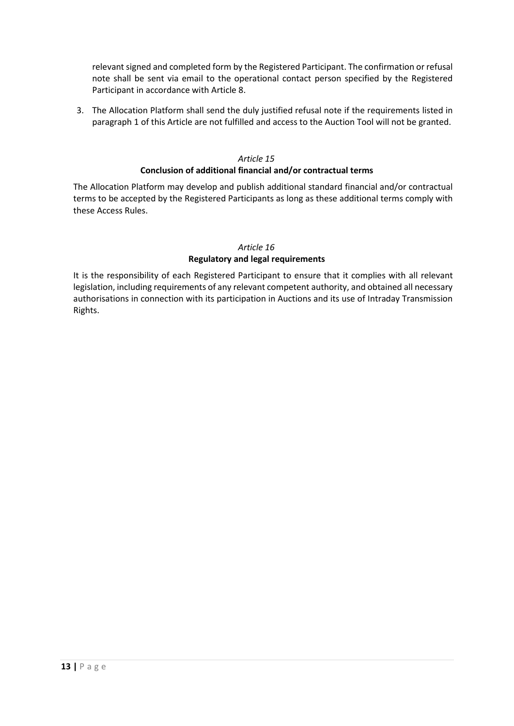relevant signed and completed form by the Registered Participant. The confirmation or refusal note shall be sent via email to the operational contact person specified by the Registered Participant in accordance with [Article 8.](#page-9-1)

3. The Allocation Platform shall send the duly justified refusal note if the requirements listed in paragraph [1](#page-11-4) of this Article are not fulfilled and access to the Auction Tool will not be granted.

### *Article 15*

### **Conclusion of additional financial and/or contractual terms**

<span id="page-12-0"></span>The Allocation Platform may develop and publish additional standard financial and/or contractual terms to be accepted by the Registered Participants as long as these additional terms comply with these Access Rules.

### *Article 16* **Regulatory and legal requirements**

<span id="page-12-1"></span>It is the responsibility of each Registered Participant to ensure that it complies with all relevant legislation, including requirements of any relevant competent authority, and obtained all necessary authorisations in connection with its participation in Auctions and its use of Intraday Transmission Rights.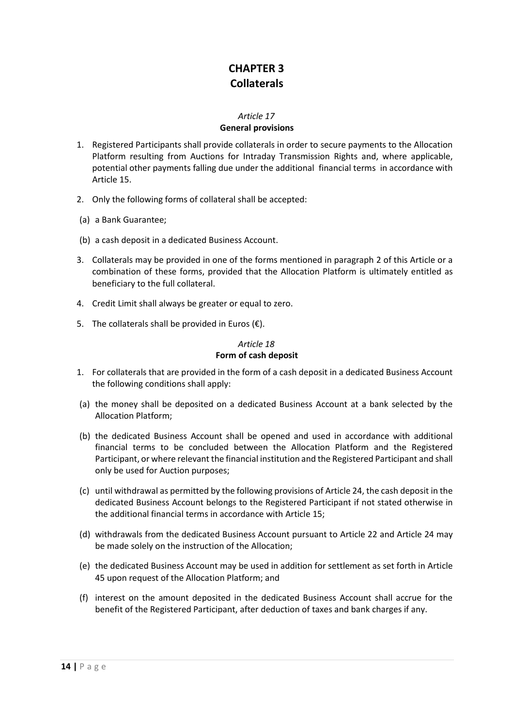# **CHAPTER 3 Collaterals**

### *Article 17*

### **General provisions**

- <span id="page-13-3"></span><span id="page-13-1"></span><span id="page-13-0"></span>1. Registered Participants shall provide collaterals in order to secure payments to the Allocation Platform resulting from Auctions for Intraday Transmission Rights and, where applicable, potential other payments falling due under the additional financial terms in accordance with [Article 15.](#page-12-0)
- <span id="page-13-4"></span>2. Only the following forms of collateral shall be accepted:
- (a) a Bank Guarantee;
- (b) a cash deposit in a dedicated Business Account.
- <span id="page-13-5"></span>3. Collaterals may be provided in one of the forms mentioned in paragraph [2](#page-13-4) of this Article or a combination of these forms, provided that the Allocation Platform is ultimately entitled as beneficiary to the full collateral.
- 4. Credit Limit shall always be greater or equal to zero.
- 5. The collaterals shall be provided in Euros  $(\epsilon)$ .

### *Article 18* **Form of cash deposit**

- <span id="page-13-2"></span>1. For collaterals that are provided in the form of a cash deposit in a dedicated Business Account the following conditions shall apply:
- (a) the money shall be deposited on a dedicated Business Account at a bank selected by the Allocation Platform;
- (b) the dedicated Business Account shall be opened and used in accordance with additional financial terms to be concluded between the Allocation Platform and the Registered Participant, or where relevant the financial institution and the Registered Participant and shall only be used for Auction purposes;
- (c) until withdrawal as permitted by the following provisions of [Article 24,](#page-17-0) the cash deposit in the dedicated Business Account belongs to the Registered Participant if not stated otherwise in the additional financial terms in accordance wit[h Article 15;](#page-12-0)
- (d) withdrawals from the dedicated Business Account pursuant to [Article 22](#page-16-0) and [Article 24](#page-17-0) may be made solely on the instruction of the Allocation;
- (e) the dedicated Business Account may be used in addition for settlement as set forth in [Article](#page-28-0)  [45](#page-28-0) upon request of the Allocation Platform; and
- (f) interest on the amount deposited in the dedicated Business Account shall accrue for the benefit of the Registered Participant, after deduction of taxes and bank charges if any.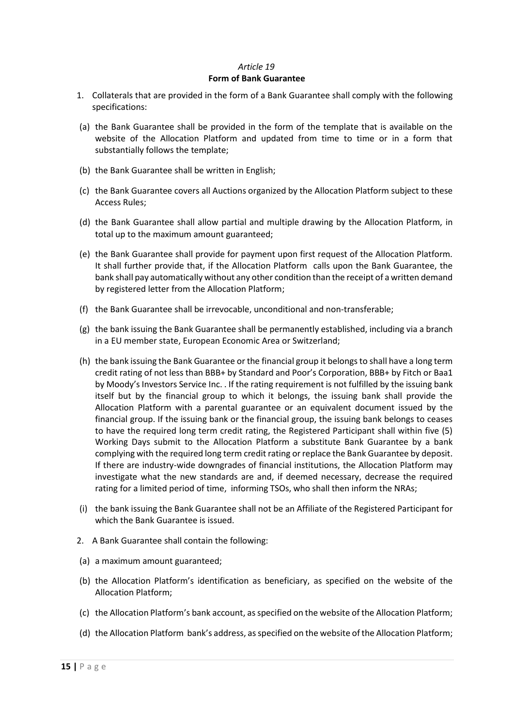### *Article 19* **Form of Bank Guarantee**

- <span id="page-14-1"></span><span id="page-14-0"></span>1. Collaterals that are provided in the form of a Bank Guarantee shall comply with the following specifications:
- (a) the Bank Guarantee shall be provided in the form of the template that is available on the website of the Allocation Platform and updated from time to time or in a form that substantially follows the template;
- (b) the Bank Guarantee shall be written in English;
- (c) the Bank Guarantee covers all Auctions organized by the Allocation Platform subject to these Access Rules;
- (d) the Bank Guarantee shall allow partial and multiple drawing by the Allocation Platform, in total up to the maximum amount guaranteed;
- (e) the Bank Guarantee shall provide for payment upon first request of the Allocation Platform. It shall further provide that, if the Allocation Platform calls upon the Bank Guarantee, the bank shall pay automatically without any other condition than the receipt of a written demand by registered letter from the Allocation Platform;
- (f) the Bank Guarantee shall be irrevocable, unconditional and non-transferable;
- (g) the bank issuing the Bank Guarantee shall be permanently established, including via a branch in a EU member state, European Economic Area or Switzerland;
- (h) the bank issuing the Bank Guarantee or the financial group it belongs to shall have a long term credit rating of not less than BBB+ by Standard and Poor's Corporation, BBB+ by Fitch or Baa1 by Moody's Investors Service Inc. . If the rating requirement is not fulfilled by the issuing bank itself but by the financial group to which it belongs, the issuing bank shall provide the Allocation Platform with a parental guarantee or an equivalent document issued by the financial group. If the issuing bank or the financial group, the issuing bank belongs to ceases to have the required long term credit rating, the Registered Participant shall within five (5) Working Days submit to the Allocation Platform a substitute Bank Guarantee by a bank complying with the required long term credit rating or replace the Bank Guarantee by deposit. If there are industry-wide downgrades of financial institutions, the Allocation Platform may investigate what the new standards are and, if deemed necessary, decrease the required rating for a limited period of time, informing TSOs, who shall then inform the NRAs;
- (i) the bank issuing the Bank Guarantee shall not be an Affiliate of the Registered Participant for which the Bank Guarantee is issued.
- 2. A Bank Guarantee shall contain the following:
- (a) a maximum amount guaranteed;
- (b) the Allocation Platform's identification as beneficiary, as specified on the website of the Allocation Platform;
- (c) the Allocation Platform's bank account, as specified on the website of the Allocation Platform;
- (d) the Allocation Platform bank's address, as specified on the website of the Allocation Platform;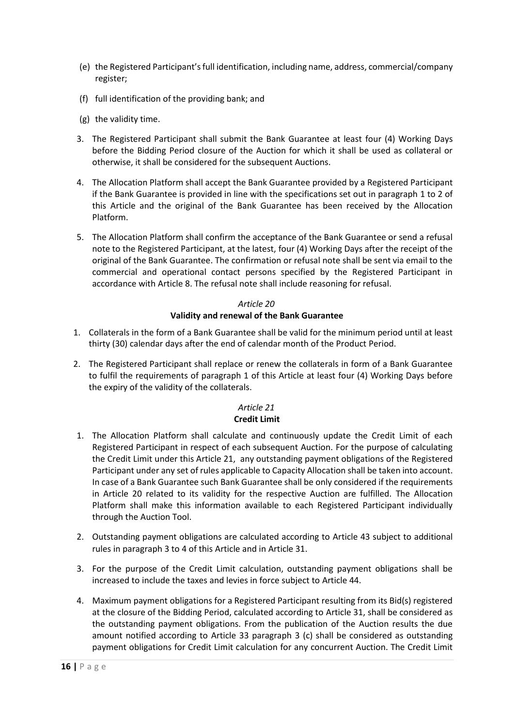- (e) the Registered Participant's full identification, including name, address, commercial/company register;
- (f) full identification of the providing bank; and
- (g) the validity time.
- 3. The Registered Participant shall submit the Bank Guarantee at least four (4) Working Days before the Bidding Period closure of the Auction for which it shall be used as collateral or otherwise, it shall be considered for the subsequent Auctions.
- 4. The Allocation Platform shall accept the Bank Guarantee provided by a Registered Participant if the Bank Guarantee is provided in line with the specifications set out in paragraph [1](#page-14-1) to 2 of this Article and the original of the Bank Guarantee has been received by the Allocation Platform.
- 5. The Allocation Platform shall confirm the acceptance of the Bank Guarantee or send a refusal note to the Registered Participant, at the latest, four (4) Working Days after the receipt of the original of the Bank Guarantee. The confirmation or refusal note shall be sent via email to the commercial and operational contact persons specified by the Registered Participant in accordance with [Article 8.](#page-9-1) The refusal note shall include reasoning for refusal.

### *Article 20* **Validity and renewal of the Bank Guarantee**

- <span id="page-15-0"></span>1. Collaterals in the form of a Bank Guarantee shall be valid for the minimum period until at least thirty (30) calendar days after the end of calendar month of the Product Period.
- 2. The Registered Participant shall replace or renew the collaterals in form of a Bank Guarantee to fulfil the requirements of paragraph 1 of this Article at least four (4) Working Days before the expiry of the validity of the collaterals.

### *Article 21* **Credit Limit**

- <span id="page-15-1"></span>1. The Allocation Platform shall calculate and continuously update the Credit Limit of each Registered Participant in respect of each subsequent Auction. For the purpose of calculating the Credit Limit under this Article 21, any outstanding payment obligations of the Registered Participant under any set of rules applicable to Capacity Allocation shall be taken into account. In case of a Bank Guarantee such Bank Guarantee shall be only considered if the requirements in [Article 20](#page-15-0) related to its validity for the respective Auction are fulfilled. The Allocation Platform shall make this information available to each Registered Participant individually through the Auction Tool.
- 2. Outstanding payment obligations are calculated according to [Article 43](#page-27-2) subject to additional rules in paragraph 3 to 4 of this Article and in [Article 31.](#page-20-1)
- 3. For the purpose of the Credit Limit calculation, outstanding payment obligations shall be increased to include the taxes and levies in force subject to [Article 44.](#page-27-3)
- 4. Maximum payment obligations for a Registered Participant resulting from its Bid(s) registered at the closure of the Bidding Period, calculated according to [Article 31,](#page-20-1) shall be considered as the outstanding payment obligations. From the publication of the Auction results the due amount notified according to [Article 33](#page-22-0) paragraph 3 [\(c\)](#page-23-2) shall be considered as outstanding payment obligations for Credit Limit calculation for any concurrent Auction. The Credit Limit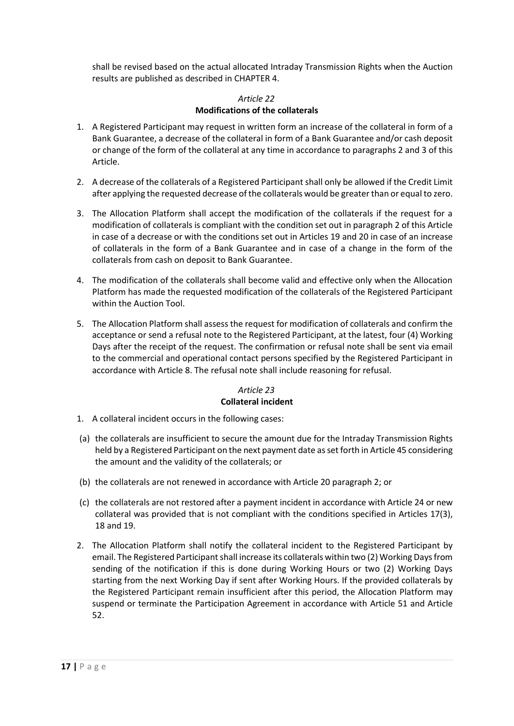shall be revised based on the actual allocated Intraday Transmission Rights when the Auction results are published as described i[n CHAPTER 4.](#page-18-0)

### *Article 22* **Modifications of the collaterals**

- <span id="page-16-0"></span>1. A Registered Participant may request in written form an increase of the collateral in form of a Bank Guarantee, a decrease of the collateral in form of a Bank Guarantee and/or cash deposit or change of the form of the collateral at any time in accordance to paragraphs [2](#page-16-2) an[d 3](#page-16-3) of this Article.
- <span id="page-16-2"></span>2. A decrease of the collaterals of a Registered Participant shall only be allowed if the Credit Limit after applying the requested decrease of the collaterals would be greater than or equal to zero.
- <span id="page-16-3"></span>3. The Allocation Platform shall accept the modification of the collaterals if the request for a modification of collaterals is compliant with the condition set out in paragrap[h 2](#page-16-2) of this Article in case of a decrease or with the conditions set out in Article[s 19](#page-14-0) an[d 20](#page-15-0) in case of an increase of collaterals in the form of a Bank Guarantee and in case of a change in the form of the collaterals from cash on deposit to Bank Guarantee.
- 4. The modification of the collaterals shall become valid and effective only when the Allocation Platform has made the requested modification of the collaterals of the Registered Participant within the Auction Tool.
- 5. The Allocation Platform shall assess the request for modification of collaterals and confirm the acceptance or send a refusal note to the Registered Participant, at the latest, four (4) Working Days after the receipt of the request. The confirmation or refusal note shall be sent via email to the commercial and operational contact persons specified by the Registered Participant in accordance with [Article 8.](#page-9-1) The refusal note shall include reasoning for refusal.

### *Article 23* **Collateral incident**

- <span id="page-16-1"></span>1. A collateral incident occurs in the following cases:
- (a) the collaterals are insufficient to secure the amount due for the Intraday Transmission Rights held by a Registered Participant on the next payment date as set forth in [Article 45](#page-28-0) considering the amount and the validity of the collaterals; or
- (b) the collaterals are not renewed in accordance with Article 20 paragraph 2; or
- (c) the collaterals are not restored after a payment incident in accordance wit[h Article 24](#page-17-0) or new collateral was provided that is not compliant with the conditions specified in Articles [17\(](#page-13-1)[3\)](#page-13-5), [18](#page-13-2) and 19.
- 2. The Allocation Platform shall notify the collateral incident to the Registered Participant by email. The Registered Participant shall increase its collaterals within two (2) Working Days from sending of the notification if this is done during Working Hours or two (2) Working Days starting from the next Working Day if sent after Working Hours. If the provided collaterals by the Registered Participant remain insufficient after this period, the Allocation Platform may suspend or terminate the Participation Agreement in accordance with [Article 51](#page-34-0) and [Article](#page-34-1)  [52.](#page-34-1)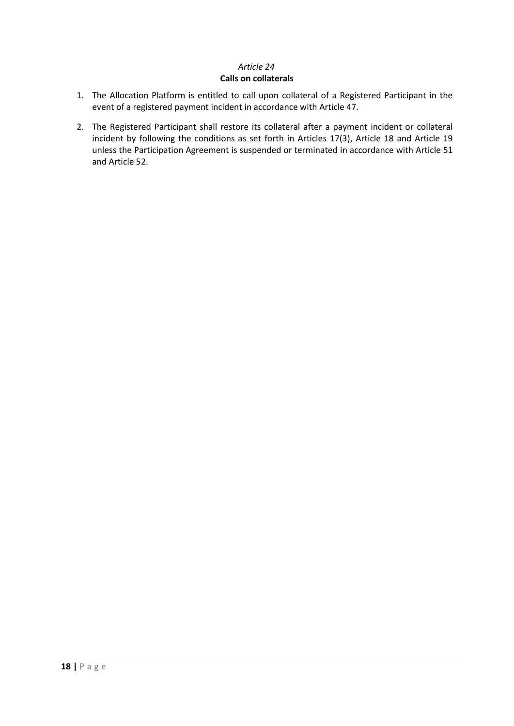### *Article 24* **Calls on collaterals**

- <span id="page-17-0"></span>1. The Allocation Platform is entitled to call upon collateral of a Registered Participant in the event of a registered payment incident in accordance with [Article 47.](#page-30-0)
- 2. The Registered Participant shall restore its collateral after a payment incident or collateral incident by following the conditions as set forth in Articles [17](#page-13-1)[\(3\)](#page-13-5), [Article 18](#page-13-2) and [Article 19](#page-14-0) unless the Participation Agreement is suspended or terminated in accordance with [Article 51](#page-34-0) and [Article 52.](#page-34-1)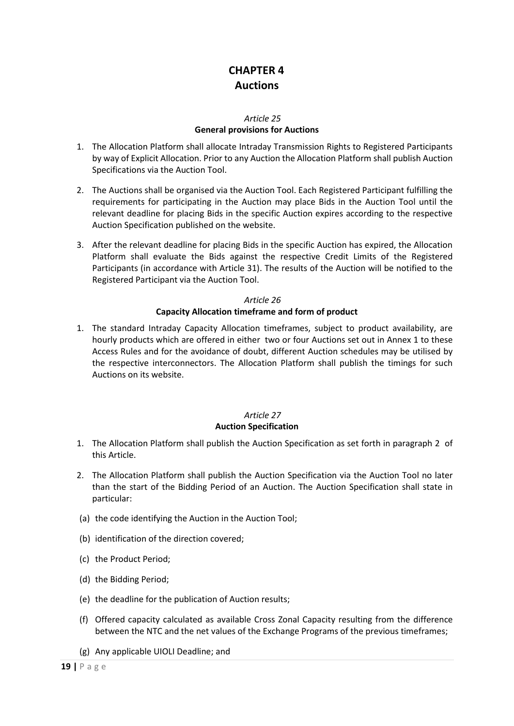# **CHAPTER 4 Auctions**

### *Article 25*

### **General provisions for Auctions**

- <span id="page-18-1"></span><span id="page-18-0"></span>1. The Allocation Platform shall allocate Intraday Transmission Rights to Registered Participants by way of Explicit Allocation. Prior to any Auction the Allocation Platform shall publish Auction Specifications via the Auction Tool.
- 2. The Auctions shall be organised via the Auction Tool. Each Registered Participant fulfilling the requirements for participating in the Auction may place Bids in the Auction Tool until the relevant deadline for placing Bids in the specific Auction expires according to the respective Auction Specification published on the website.
- 3. After the relevant deadline for placing Bids in the specific Auction has expired, the Allocation Platform shall evaluate the Bids against the respective Credit Limits of the Registered Participants (in accordance with Article 31). The results of the Auction will be notified to the Registered Participant via the Auction Tool.

### *Article 26* **Capacity Allocation timeframe and form of product**

<span id="page-18-2"></span>1. The standard Intraday Capacity Allocation timeframes, subject to product availability, are hourly products which are offered in either two or four Auctions set out in Annex 1 to these Access Rules and for the avoidance of doubt, different Auction schedules may be utilised by the respective interconnectors. The Allocation Platform shall publish the timings for such Auctions on its website.

### *Article 27*

### **Auction Specification**

- <span id="page-18-3"></span>1. The Allocation Platform shall publish the Auction Specification as set forth in paragraph [2](#page-18-4) of this Article.
- <span id="page-18-4"></span>2. The Allocation Platform shall publish the Auction Specification via the Auction Tool no later than the start of the Bidding Period of an Auction. The Auction Specification shall state in particular:
- (a) the code identifying the Auction in the Auction Tool;
- (b) identification of the direction covered;
- (c) the Product Period;
- (d) the Bidding Period;
- (e) the deadline for the publication of Auction results;
- (f) Offered capacity calculated as available Cross Zonal Capacity resulting from the difference between the NTC and the net values of the Exchange Programs of the previous timeframes;
- (g) Any applicable UIOLI Deadline; and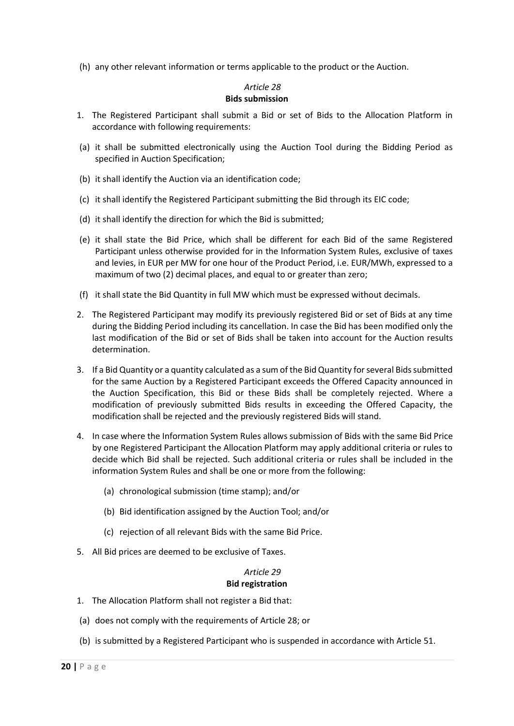(h) any other relevant information or terms applicable to the product or the Auction.

#### *Article 28* **Bids submission**

- <span id="page-19-2"></span><span id="page-19-0"></span>1. The Registered Participant shall submit a Bid or set of Bids to the Allocation Platform in accordance with following requirements:
- (a) it shall be submitted electronically using the Auction Tool during the Bidding Period as specified in Auction Specification;
- (b) it shall identify the Auction via an identification code;
- (c) it shall identify the Registered Participant submitting the Bid through its EIC code;
- (d) it shall identify the direction for which the Bid is submitted;
- (e) it shall state the Bid Price, which shall be different for each Bid of the same Registered Participant unless otherwise provided for in the Information System Rules, exclusive of taxes and levies, in EUR per MW for one hour of the Product Period, i.e. EUR/MWh, expressed to a maximum of two (2) decimal places, and equal to or greater than zero;
- (f) it shall state the Bid Quantity in full MW which must be expressed without decimals.
- 2. The Registered Participant may modify its previously registered Bid or set of Bids at any time during the Bidding Period including its cancellation. In case the Bid has been modified only the last modification of the Bid or set of Bids shall be taken into account for the Auction results determination.
- 3. If a Bid Quantity or a quantity calculated as a sum of the Bid Quantity for several Bids submitted for the same Auction by a Registered Participant exceeds the Offered Capacity announced in the Auction Specification, this Bid or these Bids shall be completely rejected. Where a modification of previously submitted Bids results in exceeding the Offered Capacity, the modification shall be rejected and the previously registered Bids will stand.
- 4. In case where the Information System Rules allows submission of Bids with the same Bid Price by one Registered Participant the Allocation Platform may apply additional criteria or rules to decide which Bid shall be rejected. Such additional criteria or rules shall be included in the information System Rules and shall be one or more from the following:
	- (a) chronological submission (time stamp); and/or
	- (b) Bid identification assigned by the Auction Tool; and/or
	- (c) rejection of all relevant Bids with the same Bid Price.
- 5. All Bid prices are deemed to be exclusive of Taxes.

### *Article 29* **Bid registration**

- <span id="page-19-1"></span>1. The Allocation Platform shall not register a Bid that:
- (a) does not comply with the requirements o[f Article 28;](#page-19-0) or
- (b) is submitted by a Registered Participant who is suspended in accordance with [Article 51.](#page-34-0)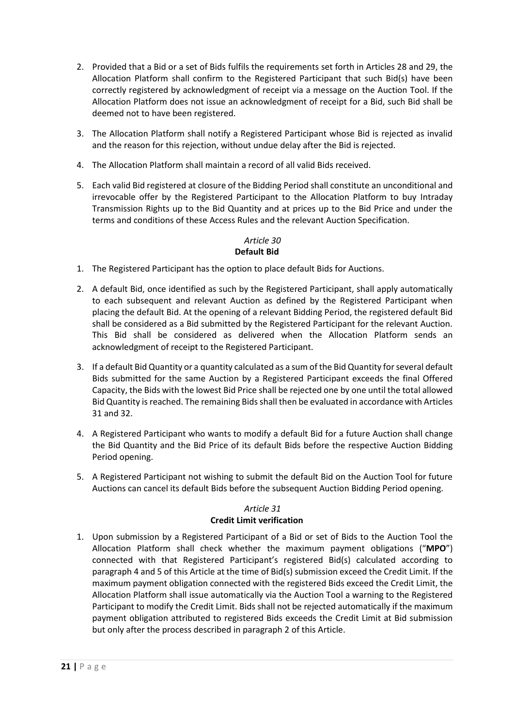- 2. Provided that a Bid or a set of Bids fulfils the requirements set forth in Articles [28](#page-19-0) and [29,](#page-19-1) the Allocation Platform shall confirm to the Registered Participant that such Bid(s) have been correctly registered by acknowledgment of receipt via a message on the Auction Tool. If the Allocation Platform does not issue an acknowledgment of receipt for a Bid, such Bid shall be deemed not to have been registered.
- 3. The Allocation Platform shall notify a Registered Participant whose Bid is rejected as invalid and the reason for this rejection, without undue delay after the Bid is rejected.
- 4. The Allocation Platform shall maintain a record of all valid Bids received.
- 5. Each valid Bid registered at closure of the Bidding Period shall constitute an unconditional and irrevocable offer by the Registered Participant to the Allocation Platform to buy Intraday Transmission Rights up to the Bid Quantity and at prices up to the Bid Price and under the terms and conditions of these Access Rules and the relevant Auction Specification.

#### *Article 30* **Default Bid**

- <span id="page-20-0"></span>1. The Registered Participant has the option to place default Bids for Auctions.
- 2. A default Bid, once identified as such by the Registered Participant, shall apply automatically to each subsequent and relevant Auction as defined by the Registered Participant when placing the default Bid. At the opening of a relevant Bidding Period, the registered default Bid shall be considered as a Bid submitted by the Registered Participant for the relevant Auction. This Bid shall be considered as delivered when the Allocation Platform sends an acknowledgment of receipt to the Registered Participant.
- 3. If a default Bid Quantity or a quantity calculated as a sum of the Bid Quantity for several default Bids submitted for the same Auction by a Registered Participant exceeds the final Offered Capacity, the Bids with the lowest Bid Price shall be rejected one by one until the total allowed Bid Quantity is reached. The remaining Bids shall then be evaluated in accordance with Articles 31 and 32.
- 4. A Registered Participant who wants to modify a default Bid for a future Auction shall change the Bid Quantity and the Bid Price of its default Bids before the respective Auction Bidding Period opening.
- 5. A Registered Participant not wishing to submit the default Bid on the Auction Tool for future Auctions can cancel its default Bids before the subsequent Auction Bidding Period opening.

### *Article 31* **Credit Limit verification**

<span id="page-20-1"></span>1. Upon submission by a Registered Participant of a Bid or set of Bids to the Auction Tool the Allocation Platform shall check whether the maximum payment obligations ("**MPO**") connected with that Registered Participant's registered Bid(s) calculated according to paragraph [4](#page-21-1) and [5](#page-21-2) of this Article at the time of Bid(s) submission exceed the Credit Limit. If the maximum payment obligation connected with the registered Bids exceed the Credit Limit, the Allocation Platform shall issue automatically via the Auction Tool a warning to the Registered Participant to modify the Credit Limit. Bids shall not be rejected automatically if the maximum payment obligation attributed to registered Bids exceeds the Credit Limit at Bid submission but only after the process described in paragrap[h 2](#page-21-3) of this Article.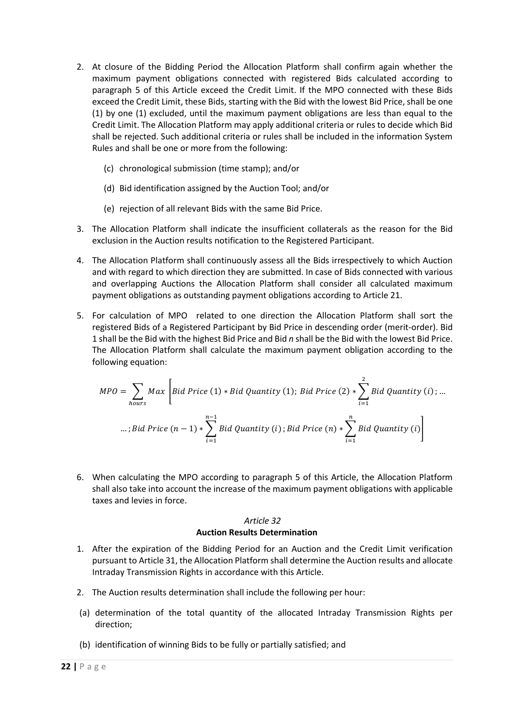- <span id="page-21-3"></span>2. At closure of the Bidding Period the Allocation Platform shall confirm again whether the maximum payment obligations connected with registered Bids calculated according to paragraph 5 of this Article exceed the Credit Limit. If the MPO connected with these Bids exceed the Credit Limit, these Bids, starting with the Bid with the lowest Bid Price, shall be one (1) by one (1) excluded, until the maximum payment obligations are less than equal to the Credit Limit. The Allocation Platform may apply additional criteria or rules to decide which Bid shall be rejected. Such additional criteria or rules shall be included in the information System Rules and shall be one or more from the following:
	- (c) chronological submission (time stamp); and/or
	- (d) Bid identification assigned by the Auction Tool; and/or
	- (e) rejection of all relevant Bids with the same Bid Price.
- 3. The Allocation Platform shall indicate the insufficient collaterals as the reason for the Bid exclusion in the Auction results notification to the Registered Participant.
- <span id="page-21-1"></span>4. The Allocation Platform shall continuously assess all the Bids irrespectively to which Auction and with regard to which direction they are submitted. In case of Bids connected with various and overlapping Auctions the Allocation Platform shall consider all calculated maximum payment obligations as outstanding payment obligations according to [Article 21.](#page-15-1)
- <span id="page-21-2"></span>5. For calculation of MPO related to one direction the Allocation Platform shall sort the registered Bids of a Registered Participant by Bid Price in descending order (merit-order). Bid 1 shall be the Bid with the highest Bid Price and Bid *n* shall be the Bid with the lowest Bid Price. The Allocation Platform shall calculate the maximum payment obligation according to the following equation:

$$
MPO = \sum_{hours} Max \left[ Bid \text{ Price (1)} * Bid \text{ Quadrity (1)}; Bid \text{ Price (2)} * \sum_{i=1}^{2} Bid \text{ Quantity (i)}; ...
$$
  
...; Bid \text{ Price (n - 1)} \*  $\sum_{i=1}^{n-1} Bid \text{ Quantity (i)}; Bid \text{ Price (n)} * \sum_{i=1}^{n} Bid \text{ Quantity (i)} \right]$ 

6. When calculating the MPO according to paragraph [5](#page-21-2) of this Article, the Allocation Platform shall also take into account the increase of the maximum payment obligations with applicable taxes and levies in force.

### *Article 32* **Auction Results Determination**

- <span id="page-21-0"></span>1. After the expiration of the Bidding Period for an Auction and the Credit Limit verification pursuant to [Article 31,](#page-20-1) the Allocation Platform shall determine the Auction results and allocate Intraday Transmission Rights in accordance with this Article.
- 2. The Auction results determination shall include the following per hour:
- (a) determination of the total quantity of the allocated Intraday Transmission Rights per direction;
- (b) identification of winning Bids to be fully or partially satisfied; and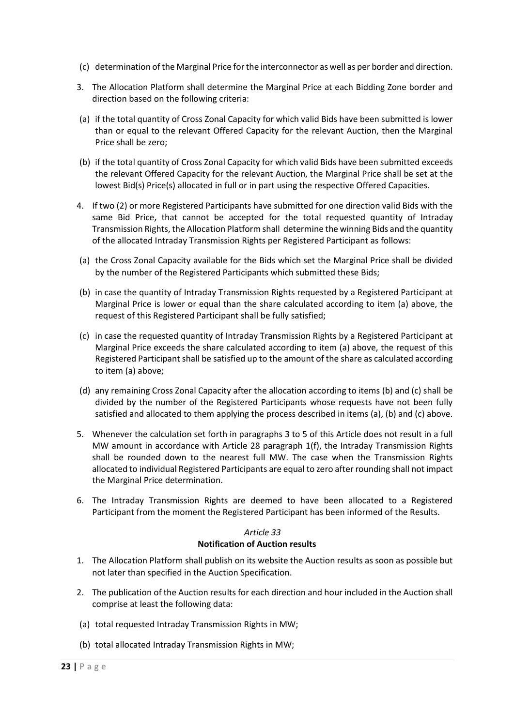- (c) determination ofthe Marginal Price for the interconnector as well as per border and direction.
- 3. The Allocation Platform shall determine the Marginal Price at each Bidding Zone border and direction based on the following criteria:
- (a) if the total quantity of Cross Zonal Capacity for which valid Bids have been submitted is lower than or equal to the relevant Offered Capacity for the relevant Auction, then the Marginal Price shall be zero;
- (b) if the total quantity of Cross Zonal Capacity for which valid Bids have been submitted exceeds the relevant Offered Capacity for the relevant Auction, the Marginal Price shall be set at the lowest Bid(s) Price(s) allocated in full or in part using the respective Offered Capacities.
- 4. If two (2) or more Registered Participants have submitted for one direction valid Bids with the same Bid Price, that cannot be accepted for the total requested quantity of Intraday Transmission Rights, the Allocation Platform shall determine the winning Bids and the quantity of the allocated Intraday Transmission Rights per Registered Participant as follows:
- <span id="page-22-1"></span>(a) the Cross Zonal Capacity available for the Bids which set the Marginal Price shall be divided by the number of the Registered Participants which submitted these Bids;
- <span id="page-22-2"></span>(b) in case the quantity of Intraday Transmission Rights requested by a Registered Participant at Marginal Price is lower or equal than the share calculated according to item [\(a\)](#page-22-1) above, the request of this Registered Participant shall be fully satisfied;
- <span id="page-22-3"></span>(c) in case the requested quantity of Intraday Transmission Rights by a Registered Participant at Marginal Price exceeds the share calculated according to item [\(a\)](#page-22-1) above, the request of this Registered Participant shall be satisfied up to the amount of the share as calculated according to item [\(a\)](#page-22-1) above;
- (d) any remaining Cross Zonal Capacity after the allocation according to item[s \(b\)](#page-22-2) an[d \(c\)](#page-22-3) shall be divided by the number of the Registered Participants whose requests have not been fully satisfied and allocated to them applying the process described in items [\(a\),](#page-22-1) [\(b\)](#page-22-2) an[d \(c\)](#page-22-3) above.
- 5. Whenever the calculation set forth in paragraphs 3 to 5 of this Article does not result in a full MW amount in accordance with [Article 28](#page-19-0) paragraph [1\(f\),](#page-19-2) the Intraday Transmission Rights shall be rounded down to the nearest full MW. The case when the Transmission Rights allocated to individual Registered Participants are equal to zero after rounding shall not impact the Marginal Price determination.
- 6. The Intraday Transmission Rights are deemed to have been allocated to a Registered Participant from the moment the Registered Participant has been informed of the Results.

### *Article 33*

### **Notification of Auction results**

- <span id="page-22-0"></span>1. The Allocation Platform shall publish on its website the Auction results as soon as possible but not later than specified in the Auction Specification.
- 2. The publication of the Auction results for each direction and hour included in the Auction shall comprise at least the following data:
- (a) total requested Intraday Transmission Rights in MW;
- (b) total allocated Intraday Transmission Rights in MW;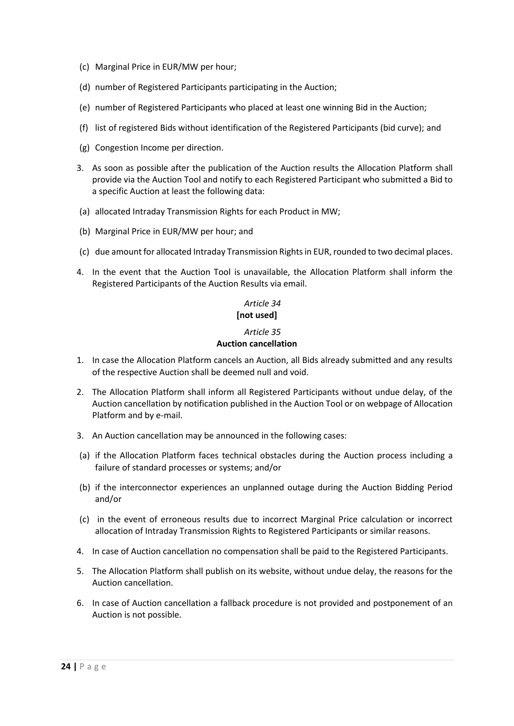- (c) Marginal Price in EUR/MW per hour;
- (d) number of Registered Participants participating in the Auction;
- (e) number of Registered Participants who placed at least one winning Bid in the Auction;
- (f) list of registered Bids without identification of the Registered Participants (bid curve); and
- (g) Congestion Income per direction.
- 3. As soon as possible after the publication of the Auction results the Allocation Platform shall provide via the Auction Tool and notify to each Registered Participant who submitted a Bid to a specific Auction at least the following data:
- (a) allocated Intraday Transmission Rights for each Product in MW;
- (b) Marginal Price in EUR/MW per hour; and
- <span id="page-23-2"></span>(c) due amount for allocated Intraday Transmission Rightsin EUR, rounded to two decimal places.
- <span id="page-23-0"></span>4. In the event that the Auction Tool is unavailable, the Allocation Platform shall inform the Registered Participants of the Auction Results via email.

### *Article 34*

### **[not used]**

#### *Article 35* **Auction cancellation**

- <span id="page-23-1"></span>1. In case the Allocation Platform cancels an Auction, all Bids already submitted and any results of the respective Auction shall be deemed null and void.
- 2. The Allocation Platform shall inform all Registered Participants without undue delay, of the Auction cancellation by notification published in the Auction Tool or on webpage of Allocation Platform and by e-mail.
- 3. An Auction cancellation may be announced in the following cases:
- (a) if the Allocation Platform faces technical obstacles during the Auction process including a failure of standard processes or systems; and/or
- (b) if the interconnector experiences an unplanned outage during the Auction Bidding Period and/or
- (c) in the event of erroneous results due to incorrect Marginal Price calculation or incorrect allocation of Intraday Transmission Rights to Registered Participants or similar reasons.
- 4. In case of Auction cancellation no compensation shall be paid to the Registered Participants.
- 5. The Allocation Platform shall publish on its website, without undue delay, the reasons for the Auction cancellation.
- 6. In case of Auction cancellation a fallback procedure is not provided and postponement of an Auction is not possible.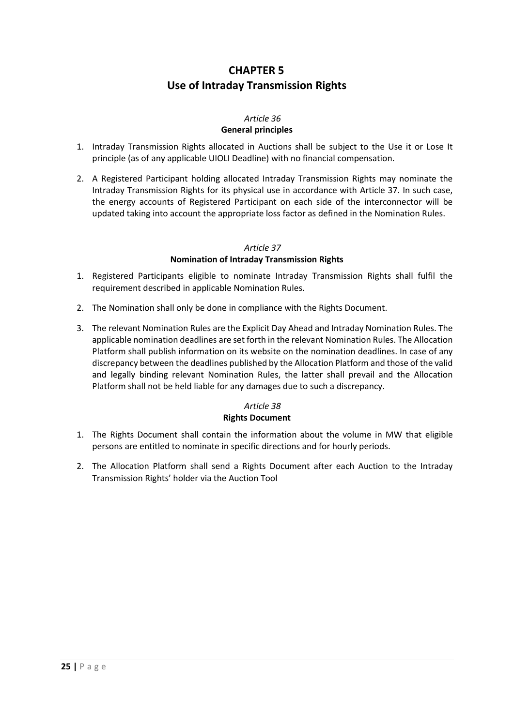### **CHAPTER 5 Use of Intraday Transmission Rights**

### *Article 36* **General principles**

- <span id="page-24-1"></span><span id="page-24-0"></span>1. Intraday Transmission Rights allocated in Auctions shall be subject to the Use it or Lose It principle (as of any applicable UIOLI Deadline) with no financial compensation.
- 2. A Registered Participant holding allocated Intraday Transmission Rights may nominate the Intraday Transmission Rights for its physical use in accordance with [Article 37.](#page-24-2) In such case, the energy accounts of Registered Participant on each side of the interconnector will be updated taking into account the appropriate loss factor as defined in the Nomination Rules.

### *Article 37*

### **Nomination of Intraday Transmission Rights**

- <span id="page-24-2"></span>1. Registered Participants eligible to nominate Intraday Transmission Rights shall fulfil the requirement described in applicable Nomination Rules.
- 2. The Nomination shall only be done in compliance with the Rights Document.
- 3. The relevant Nomination Rules are the Explicit Day Ahead and Intraday Nomination Rules. The applicable nomination deadlines are set forth in the relevant Nomination Rules. The Allocation Platform shall publish information on its website on the nomination deadlines. In case of any discrepancy between the deadlines published by the Allocation Platform and those of the valid and legally binding relevant Nomination Rules, the latter shall prevail and the Allocation Platform shall not be held liable for any damages due to such a discrepancy.

### *Article 38* **Rights Document**

- <span id="page-24-3"></span>1. The Rights Document shall contain the information about the volume in MW that eligible persons are entitled to nominate in specific directions and for hourly periods.
- 2. The Allocation Platform shall send a Rights Document after each Auction to the Intraday Transmission Rights' holder via the Auction Tool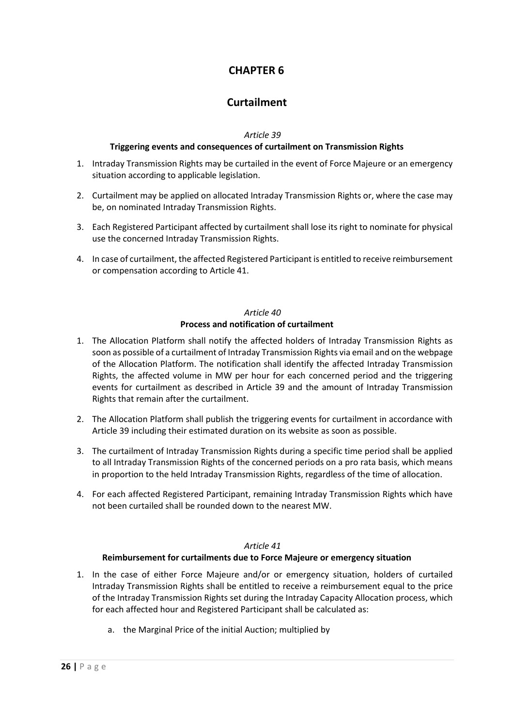### **CHAPTER 6**

### **Curtailment**

*Article 39*

### **Triggering events and consequences of curtailment on Transmission Rights**

- <span id="page-25-1"></span><span id="page-25-0"></span>1. Intraday Transmission Rights may be curtailed in the event of Force Majeure or an emergency situation according to applicable legislation.
- 2. Curtailment may be applied on allocated Intraday Transmission Rights or, where the case may be, on nominated Intraday Transmission Rights.
- 3. Each Registered Participant affected by curtailment shall lose its right to nominate for physical use the concerned Intraday Transmission Rights.
- 4. In case of curtailment, the affected Registered Participant is entitled to receive reimbursement or compensation according to [Article 41.](#page-25-3)

### *Article 40* **Process and notification of curtailment**

- <span id="page-25-2"></span>1. The Allocation Platform shall notify the affected holders of Intraday Transmission Rights as soon as possible of a curtailment of Intraday Transmission Rights via email and on the webpage of the Allocation Platform. The notification shall identify the affected Intraday Transmission Rights, the affected volume in MW per hour for each concerned period and the triggering events for curtailment as described in [Article 39](#page-25-1) and the amount of Intraday Transmission Rights that remain after the curtailment.
- 2. The Allocation Platform shall publish the triggering events for curtailment in accordance with [Article 39](#page-25-1) including their estimated duration on its website as soon as possible.
- 3. The curtailment of Intraday Transmission Rights during a specific time period shall be applied to all Intraday Transmission Rights of the concerned periods on a pro rata basis, which means in proportion to the held Intraday Transmission Rights, regardless of the time of allocation.
- 4. For each affected Registered Participant, remaining Intraday Transmission Rights which have not been curtailed shall be rounded down to the nearest MW.

### *Article 41*

### **Reimbursement for curtailments due to Force Majeure or emergency situation**

- <span id="page-25-3"></span>1. In the case of either Force Majeure and/or or emergency situation, holders of curtailed Intraday Transmission Rights shall be entitled to receive a reimbursement equal to the price of the Intraday Transmission Rights set during the Intraday Capacity Allocation process, which for each affected hour and Registered Participant shall be calculated as:
	- a. the Marginal Price of the initial Auction; multiplied by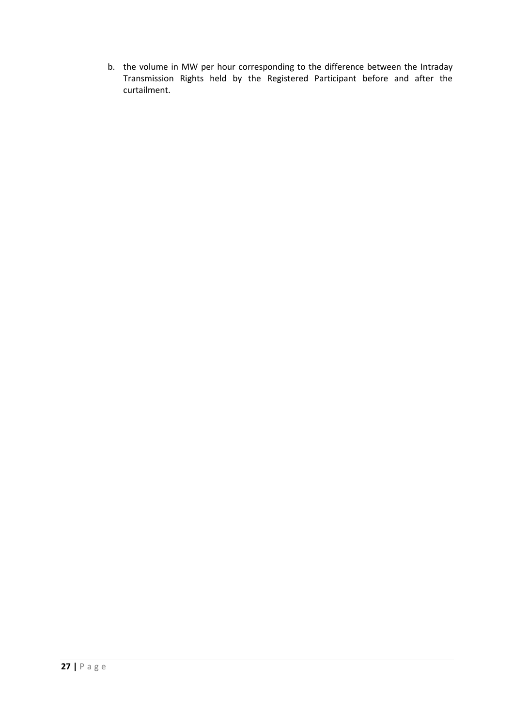b. the volume in MW per hour corresponding to the difference between the Intraday Transmission Rights held by the Registered Participant before and after the curtailment.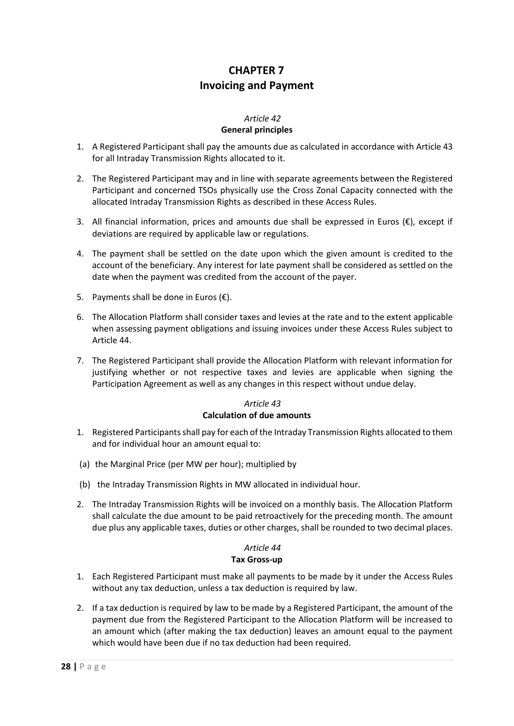### **CHAPTER 7 Invoicing and Payment**

### *Article 42*

### **General principles**

- <span id="page-27-1"></span><span id="page-27-0"></span>1. A Registered Participant shall pay the amounts due as calculated in accordance with [Article 43](#page-27-2) for all Intraday Transmission Rights allocated to it.
- 2. The Registered Participant may and in line with separate agreements between the Registered Participant and concerned TSOs physically use the Cross Zonal Capacity connected with the allocated Intraday Transmission Rights as described in these Access Rules.
- 3. All financial information, prices and amounts due shall be expressed in Euros  $(€)$ , except if deviations are required by applicable law or regulations.
- <span id="page-27-4"></span>4. The payment shall be settled on the date upon which the given amount is credited to the account of the beneficiary. Any interest for late payment shall be considered as settled on the date when the payment was credited from the account of the payer.
- 5. Payments shall be done in Euros  $(\epsilon)$ .
- 6. The Allocation Platform shall consider taxes and levies at the rate and to the extent applicable when assessing payment obligations and issuing invoices under these Access Rules subject to [Article 44.](#page-27-3)
- 7. The Registered Participant shall provide the Allocation Platform with relevant information for justifying whether or not respective taxes and levies are applicable when signing the Participation Agreement as well as any changes in this respect without undue delay.

### *Article 43* **Calculation of due amounts**

- <span id="page-27-2"></span>1. Registered Participants shall pay for each of the Intraday Transmission Rights allocated to them and for individual hour an amount equal to:
- (a) the Marginal Price (per MW per hour); multiplied by
- (b) the Intraday Transmission Rights in MW allocated in individual hour.
- 2. The Intraday Transmission Rights will be invoiced on a monthly basis. The Allocation Platform shall calculate the due amount to be paid retroactively for the preceding month. The amount due plus any applicable taxes, duties or other charges, shall be rounded to two decimal places.

### *Article 44* **Tax Gross-up**

- <span id="page-27-3"></span>1. Each Registered Participant must make all payments to be made by it under the Access Rules without any tax deduction, unless a tax deduction is required by law.
- 2. If a tax deduction is required by law to be made by a Registered Participant, the amount of the payment due from the Registered Participant to the Allocation Platform will be increased to an amount which (after making the tax deduction) leaves an amount equal to the payment which would have been due if no tax deduction had been required.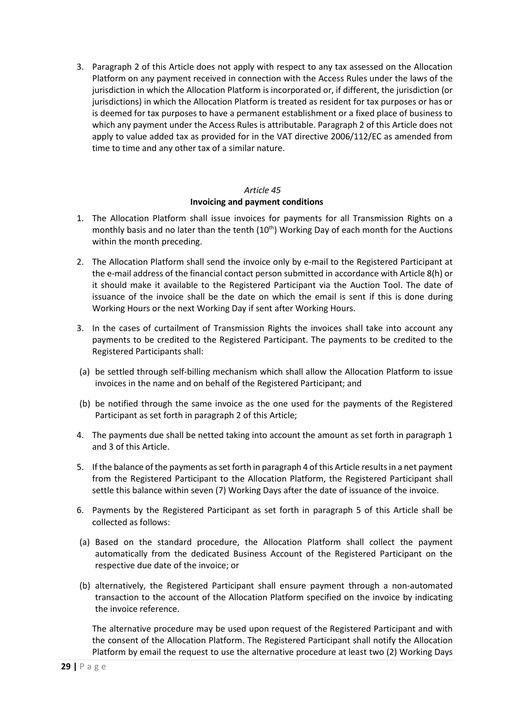3. Paragraph 2 of this Article does not apply with respect to any tax assessed on the Allocation Platform on any payment received in connection with the Access Rules under the laws of the jurisdiction in which the Allocation Platform is incorporated or, if different, the jurisdiction (or jurisdictions) in which the Allocation Platform is treated as resident for tax purposes or has or is deemed for tax purposes to have a permanent establishment or a fixed place of business to which any payment under the Access Rules is attributable. Paragraph 2 of this Article does not apply to value added tax as provided for in the VAT directive 2006/112/EC as amended from time to time and any other tax of a similar nature.

### *Article 45* **Invoicing and payment conditions**

- <span id="page-28-3"></span><span id="page-28-0"></span>1. The Allocation Platform shall issue invoices for payments for all Transmission Rights on a monthly basis and no later than the tenth  $(10<sup>th</sup>)$  Working Day of each month for the Auctions within the month preceding.
- <span id="page-28-2"></span>2. The Allocation Platform shall send the invoice only by e-mail to the Registered Participant at the e-mail address of the financial contact person submitted in accordance wit[h Article 8\(h\)](#page-9-1) or it should make it available to the Registered Participant via the Auction Tool. The date of issuance of the invoice shall be the date on which the email is sent if this is done during Working Hours or the next Working Day if sent after Working Hours.
- 3. In the cases of curtailment of Transmission Rights the invoices shall take into account any payments to be credited to the Registered Participant. The payments to be credited to the Registered Participants shall:
- (a) be settled through self-billing mechanism which shall allow the Allocation Platform to issue invoices in the name and on behalf of the Registered Participant; and
- (b) be notified through the same invoice as the one used for the payments of the Registered Participant as set forth in paragrap[h 2](#page-28-2) of this Article;
- <span id="page-28-4"></span>4. The payments due shall be netted taking into account the amount as set forth in paragraph 1 and 3 of this Article.
- 5. If the balance of the payments as set forth in paragraph 4 of this Article results in a net payment from the Registered Participant to the Allocation Platform, the Registered Participant shall settle this balance within seven (7) Working Days after the date of issuance of the invoice.
- <span id="page-28-1"></span>6. Payments by the Registered Participant as set forth in paragraph 5 of this Article shall be collected as follows:
- (a) Based on the standard procedure, the Allocation Platform shall collect the payment automatically from the dedicated Business Account of the Registered Participant on the respective due date of the invoice; or
- (b) alternatively, the Registered Participant shall ensure payment through a non-automated transaction to the account of the Allocation Platform specified on the invoice by indicating the invoice reference.

The alternative procedure may be used upon request of the Registered Participant and with the consent of the Allocation Platform. The Registered Participant shall notify the Allocation Platform by email the request to use the alternative procedure at least two (2) Working Days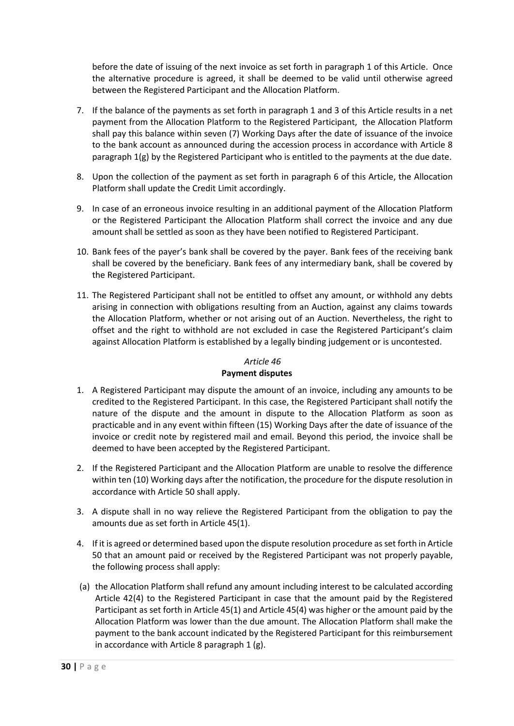before the date of issuing of the next invoice as set forth in paragraph [1](#page-28-3) of this Article. Once the alternative procedure is agreed, it shall be deemed to be valid until otherwise agreed between the Registered Participant and the Allocation Platform.

- <span id="page-29-1"></span>7. If the balance of the payments as set forth in paragraph 1 and 3 of this Article results in a net payment from the Allocation Platform to the Registered Participant, the Allocation Platform shall pay this balance within seven (7) Working Days after the date of issuance of the invoice to the bank account as announced during the accession process in accordance with [Article 8](#page-9-1) paragraph [1\(g\)](#page-9-2) by the Registered Participant who is entitled to the payments at the due date.
- <span id="page-29-2"></span>8. Upon the collection of the payment as set forth in paragraph 6 of this Article, the Allocation Platform shall update the Credit Limit accordingly.
- 9. In case of an erroneous invoice resulting in an additional payment of the Allocation Platform or the Registered Participant the Allocation Platform shall correct the invoice and any due amount shall be settled as soon as they have been notified to Registered Participant.
- 10. Bank fees of the payer's bank shall be covered by the payer. Bank fees of the receiving bank shall be covered by the beneficiary. Bank fees of any intermediary bank, shall be covered by the Registered Participant.
- 11. The Registered Participant shall not be entitled to offset any amount, or withhold any debts arising in connection with obligations resulting from an Auction, against any claims towards the Allocation Platform, whether or not arising out of an Auction. Nevertheless, the right to offset and the right to withhold are not excluded in case the Registered Participant's claim against Allocation Platform is established by a legally binding judgement or is uncontested.

### *Article 46*

### **Payment disputes**

- <span id="page-29-0"></span>1. A Registered Participant may dispute the amount of an invoice, including any amounts to be credited to the Registered Participant. In this case, the Registered Participant shall notify the nature of the dispute and the amount in dispute to the Allocation Platform as soon as practicable and in any event within fifteen (15) Working Days after the date of issuance of the invoice or credit note by registered mail and email. Beyond this period, the invoice shall be deemed to have been accepted by the Registered Participant.
- 2. If the Registered Participant and the Allocation Platform are unable to resolve the difference within ten (10) Working days after the notification, the procedure for the dispute resolution in accordance with [Article 50](#page-32-0) shall apply.
- 3. A dispute shall in no way relieve the Registered Participant from the obligation to pay the amounts due as set forth in [Article 45\(](#page-28-0)1).
- <span id="page-29-3"></span>4. If it is agreed or determined based upon the dispute resolution procedure as set forth i[n Article](#page-32-0)  [50](#page-32-0) that an amount paid or received by the Registered Participant was not properly payable, the following process shall apply:
- (a) the Allocation Platform shall refund any amount including interest to be calculated according [Article 42](#page-27-1)[\(4\)](#page-27-4) to the Registered Participant in case that the amount paid by the Registered Participant as set forth in [Article 45\(](#page-28-0)1) an[d Article 45](#page-28-0)[\(4\)](#page-28-4) was higher or the amount paid by the Allocation Platform was lower than the due amount. The Allocation Platform shall make the payment to the bank account indicated by the Registered Participant for this reimbursement in accordance with [Article 8](#page-9-1) paragraph [1](#page-9-2) [\(g\).](#page-9-3)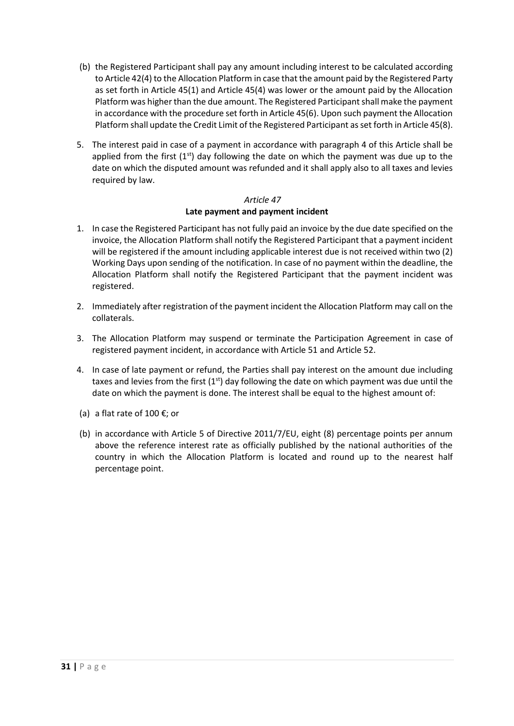- (b) the Registered Participant shall pay any amount including interest to be calculated according t[o Article 42](#page-27-1)[\(4\)](#page-27-4) to the Allocation Platform in case that the amount paid by the Registered Party as set forth in [Article 45\(](#page-28-0)1) and [Article 45](#page-28-0)[\(4\)](#page-28-4) was lower or the amount paid by the Allocation Platform was higher than the due amount. The Registered Participant shall make the payment in accordance with the procedure set forth i[n Article 45\(](#page-28-0)[6\)](#page-28-1). Upon such payment the Allocation Platform shall update the Credit Limit of the Registered Participant as set forth i[n Article 45\(](#page-28-0)[8\)](#page-29-2).
- 5. The interest paid in case of a payment in accordance with paragrap[h 4](#page-29-3) of this Article shall be applied from the first  $(1^{st})$  day following the date on which the payment was due up to the date on which the disputed amount was refunded and it shall apply also to all taxes and levies required by law.

### *Article 47*

### **Late payment and payment incident**

- <span id="page-30-0"></span>1. In case the Registered Participant has not fully paid an invoice by the due date specified on the invoice, the Allocation Platform shall notify the Registered Participant that a payment incident will be registered if the amount including applicable interest due is not received within two (2) Working Days upon sending of the notification. In case of no payment within the deadline, the Allocation Platform shall notify the Registered Participant that the payment incident was registered.
- 2. Immediately after registration of the payment incident the Allocation Platform may call on the collaterals.
- 3. The Allocation Platform may suspend or terminate the Participation Agreement in case of registered payment incident, in accordance with [Article 51](#page-34-0) and [Article 52.](#page-34-1)
- 4. In case of late payment or refund, the Parties shall pay interest on the amount due including taxes and levies from the first  $(1<sup>st</sup>)$  day following the date on which payment was due until the date on which the payment is done. The interest shall be equal to the highest amount of:
- (a) a flat rate of 100 €; or
- (b) in accordance with Article 5 of Directive 2011/7/EU, eight (8) percentage points per annum above the reference interest rate as officially published by the national authorities of the country in which the Allocation Platform is located and round up to the nearest half percentage point.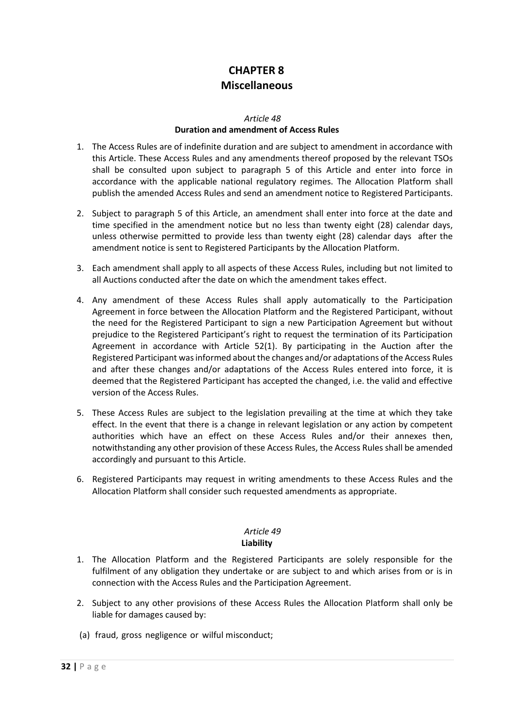# **CHAPTER 8 Miscellaneous**

#### *Article 48*

### **Duration and amendment of Access Rules**

- <span id="page-31-1"></span><span id="page-31-0"></span>1. The Access Rules are of indefinite duration and are subject to amendment in accordance with this Article. These Access Rules and any amendments thereof proposed by the relevant TSOs shall be consulted upon subject to paragraph 5 of this Article and enter into force in accordance with the applicable national regulatory regimes. The Allocation Platform shall publish the amended Access Rules and send an amendment notice to Registered Participants.
- 2. Subject to paragraph 5 of this Article, an amendment shall enter into force at the date and time specified in the amendment notice but no less than twenty eight (28) calendar days, unless otherwise permitted to provide less than twenty eight (28) calendar days after the amendment notice is sent to Registered Participants by the Allocation Platform.
- 3. Each amendment shall apply to all aspects of these Access Rules, including but not limited to all Auctions conducted after the date on which the amendment takes effect.
- 4. Any amendment of these Access Rules shall apply automatically to the Participation Agreement in force between the Allocation Platform and the Registered Participant, without the need for the Registered Participant to sign a new Participation Agreement but without prejudice to the Registered Participant's right to request the termination of its Participation Agreement in accordance with [Article 52](#page-34-1)[\(1\)](#page-34-2). By participating in the Auction after the Registered Participant was informed about the changes and/or adaptations of the Access Rules and after these changes and/or adaptations of the Access Rules entered into force, it is deemed that the Registered Participant has accepted the changed, i.e. the valid and effective version of the Access Rules.
- 5. These Access Rules are subject to the legislation prevailing at the time at which they take effect. In the event that there is a change in relevant legislation or any action by competent authorities which have an effect on these Access Rules and/or their annexes then, notwithstanding any other provision of these Access Rules, the Access Rules shall be amended accordingly and pursuant to this Article.
- 6. Registered Participants may request in writing amendments to these Access Rules and the Allocation Platform shall consider such requested amendments as appropriate.

### *Article 49*

### **Liability**

- <span id="page-31-2"></span>1. The Allocation Platform and the Registered Participants are solely responsible for the fulfilment of any obligation they undertake or are subject to and which arises from or is in connection with the Access Rules and the Participation Agreement.
- 2. Subject to any other provisions of these Access Rules the Allocation Platform shall only be liable for damages caused by:
- (a) fraud, gross negligence or wilful misconduct;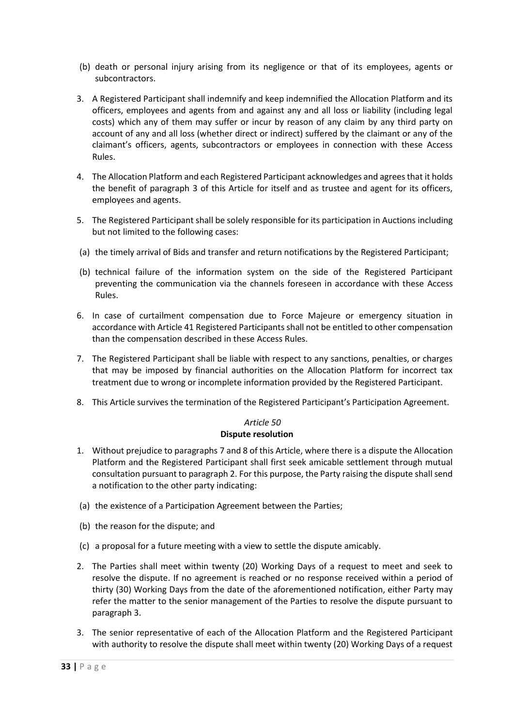- (b) death or personal injury arising from its negligence or that of its employees, agents or subcontractors.
- <span id="page-32-1"></span>3. A Registered Participant shall indemnify and keep indemnified the Allocation Platform and its officers, employees and agents from and against any and all loss or liability (including legal costs) which any of them may suffer or incur by reason of any claim by any third party on account of any and all loss (whether direct or indirect) suffered by the claimant or any of the claimant's officers, agents, subcontractors or employees in connection with these Access Rules.
- 4. The Allocation Platform and each Registered Participant acknowledges and agrees that it holds the benefit of paragraph [3](#page-32-1) of this Article for itself and as trustee and agent for its officers, employees and agents.
- 5. The Registered Participant shall be solely responsible for its participation in Auctions including but not limited to the following cases:
- (a) the timely arrival of Bids and transfer and return notifications by the Registered Participant;
- (b) technical failure of the information system on the side of the Registered Participant preventing the communication via the channels foreseen in accordance with these Access Rules.
- 6. In case of curtailment compensation due to Force Majeure or emergency situation in accordance with [Article 41](#page-25-3) Registered Participants shall not be entitled to other compensation than the compensation described in these Access Rules.
- 7. The Registered Participant shall be liable with respect to any sanctions, penalties, or charges that may be imposed by financial authorities on the Allocation Platform for incorrect tax treatment due to wrong or incomplete information provided by the Registered Participant.
- 8. This Article survives the termination of the Registered Participant's Participation Agreement.

#### *Article 50* **Dispute resolution**

- <span id="page-32-4"></span><span id="page-32-0"></span>1. Without prejudice to paragraph[s 7](#page-33-0) an[d 8](#page-33-1) of this Article, where there is a dispute the Allocation Platform and the Registered Participant shall first seek amicable settlement through mutual consultation pursuant to paragrap[h 2.](#page-32-2) For this purpose, the Party raising the dispute shall send a notification to the other party indicating:
- (a) the existence of a Participation Agreement between the Parties;
- (b) the reason for the dispute; and
- (c) a proposal for a future meeting with a view to settle the dispute amicably.
- <span id="page-32-2"></span>2. The Parties shall meet within twenty (20) Working Days of a request to meet and seek to resolve the dispute. If no agreement is reached or no response received within a period of thirty (30) Working Days from the date of the aforementioned notification, either Party may refer the matter to the senior management of the Parties to resolve the dispute pursuant to paragraph [3.](#page-32-3)
- <span id="page-32-3"></span>3. The senior representative of each of the Allocation Platform and the Registered Participant with authority to resolve the dispute shall meet within twenty (20) Working Days of a request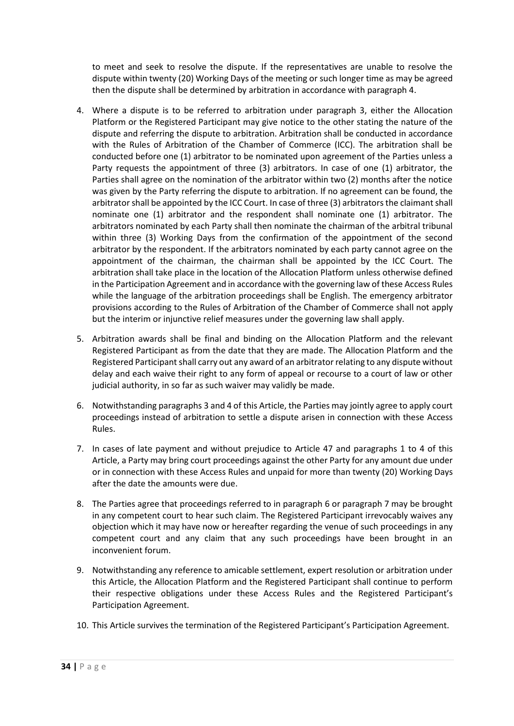to meet and seek to resolve the dispute. If the representatives are unable to resolve the dispute within twenty (20) Working Days of the meeting or such longer time as may be agreed then the dispute shall be determined by arbitration in accordance with paragraph [4.](#page-33-2)

- <span id="page-33-2"></span>4. Where a dispute is to be referred to arbitration under paragraph [3,](#page-32-3) either the Allocation Platform or the Registered Participant may give notice to the other stating the nature of the dispute and referring the dispute to arbitration. Arbitration shall be conducted in accordance with the Rules of Arbitration of the Chamber of Commerce (ICC). The arbitration shall be conducted before one (1) arbitrator to be nominated upon agreement of the Parties unless a Party requests the appointment of three (3) arbitrators. In case of one (1) arbitrator, the Parties shall agree on the nomination of the arbitrator within two (2) months after the notice was given by the Party referring the dispute to arbitration. If no agreement can be found, the arbitrator shall be appointed by the ICC Court. In case of three (3) arbitrators the claimant shall nominate one (1) arbitrator and the respondent shall nominate one (1) arbitrator. The arbitrators nominated by each Party shall then nominate the chairman of the arbitral tribunal within three (3) Working Days from the confirmation of the appointment of the second arbitrator by the respondent. If the arbitrators nominated by each party cannot agree on the appointment of the chairman, the chairman shall be appointed by the ICC Court. The arbitration shall take place in the location of the Allocation Platform unless otherwise defined in the Participation Agreement and in accordance with the governing law of these Access Rules while the language of the arbitration proceedings shall be English. The emergency arbitrator provisions according to the Rules of Arbitration of the Chamber of Commerce shall not apply but the interim or injunctive relief measures under the governing law shall apply.
- 5. Arbitration awards shall be final and binding on the Allocation Platform and the relevant Registered Participant as from the date that they are made. The Allocation Platform and the Registered Participant shall carry out any award of an arbitrator relating to any dispute without delay and each waive their right to any form of appeal or recourse to a court of law or other judicial authority, in so far as such waiver may validly be made.
- <span id="page-33-3"></span>6. Notwithstanding paragraph[s 3](#page-32-3) and 4 of this Article, the Parties may jointly agree to apply court proceedings instead of arbitration to settle a dispute arisen in connection with these Access Rules.
- <span id="page-33-0"></span>7. In cases of late payment and without prejudice to [Article 47](#page-30-0) and paragraphs [1](#page-32-4) to [4](#page-33-2) of this Article, a Party may bring court proceedings against the other Party for any amount due under or in connection with these Access Rules and unpaid for more than twenty (20) Working Days after the date the amounts were due.
- <span id="page-33-1"></span>8. The Parties agree that proceedings referred to in paragraph [6](#page-33-3) or paragraph [7](#page-33-0) may be brought in any competent court to hear such claim. The Registered Participant irrevocably waives any objection which it may have now or hereafter regarding the venue of such proceedings in any competent court and any claim that any such proceedings have been brought in an inconvenient forum.
- 9. Notwithstanding any reference to amicable settlement, expert resolution or arbitration under this Article, the Allocation Platform and the Registered Participant shall continue to perform their respective obligations under these Access Rules and the Registered Participant's Participation Agreement.
- 10. This Article survives the termination of the Registered Participant's Participation Agreement.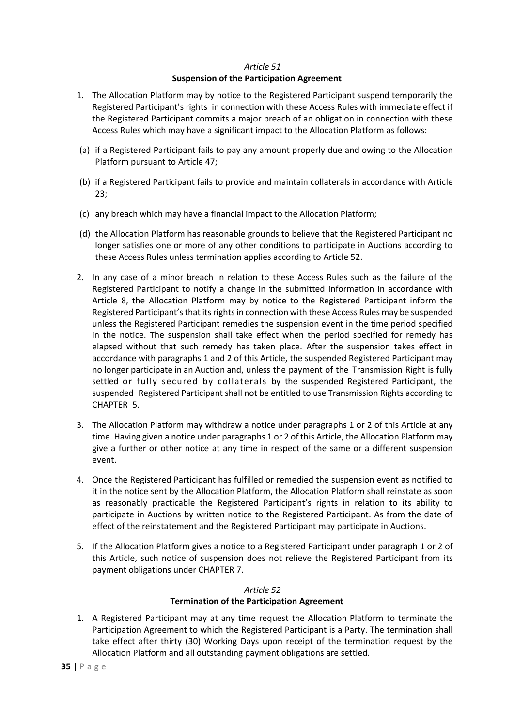### *Article 51*

### **Suspension of the Participation Agreement**

- <span id="page-34-3"></span><span id="page-34-0"></span>1. The Allocation Platform may by notice to the Registered Participant suspend temporarily the Registered Participant's rights in connection with these Access Rules with immediate effect if the Registered Participant commits a major breach of an obligation in connection with these Access Rules which may have a significant impact to the Allocation Platform as follows:
- (a) if a Registered Participant fails to pay any amount properly due and owing to the Allocation Platform pursuant to [Article 47;](#page-30-0)
- (b) if a Registered Participant fails to provide and maintain collaterals in accordance with [Article](#page-16-1) [23;](#page-16-1)
- (c) any breach which may have a financial impact to the Allocation Platform;
- (d) the Allocation Platform has reasonable grounds to believe that the Registered Participant no longer satisfies one or more of any other conditions to participate in Auctions according to these Access Rules unless termination applies according t[o Article 52.](#page-34-1)
- <span id="page-34-4"></span>2. In any case of a minor breach in relation to these Access Rules such as the failure of the Registered Participant to notify a change in the submitted information in accordance with [Article 8,](#page-9-1) the Allocation Platform may by notice to the Registered Participant inform the Registered Participant's that its rights in connection with these Access Rules may be suspended unless the Registered Participant remedies the suspension event in the time period specified in the notice. The suspension shall take effect when the period specified for remedy has elapsed without that such remedy has taken place. After the suspension takes effect in accordance with paragraph[s 1](#page-34-3) and [2](#page-34-4) of this Article, the suspended Registered Participant may no longer participate in an Auction and, unless the payment of the Transmission Right is fully settled or fully secured by collaterals by the suspended Registered Participant, the suspended Registered Participant shall not be entitled to use Transmission Rights according to CHAPTER 5.
- 3. The Allocation Platform may withdraw a notice under paragraphs [1](#page-34-3) or [2](#page-34-4) of this Article at any time. Having given a notice under paragraph[s 1](#page-34-3) o[r 2](#page-34-4) of this Article, the Allocation Platform may give a further or other notice at any time in respect of the same or a different suspension event.
- 4. Once the Registered Participant has fulfilled or remedied the suspension event as notified to it in the notice sent by the Allocation Platform, the Allocation Platform shall reinstate as soon as reasonably practicable the Registered Participant's rights in relation to its ability to participate in Auctions by written notice to the Registered Participant. As from the date of effect of the reinstatement and the Registered Participant may participate in Auctions.
- 5. If the Allocation Platform gives a notice to a Registered Participant under paragraph [1](#page-34-3) or [2](#page-34-4) of this Article, such notice of suspension does not relieve the Registered Participant from its payment obligations under [CHAPTER 7.](#page-27-0)

#### *Article 52* **Termination of the Participation Agreement**

<span id="page-34-2"></span><span id="page-34-1"></span>1. A Registered Participant may at any time request the Allocation Platform to terminate the Participation Agreement to which the Registered Participant is a Party. The termination shall take effect after thirty (30) Working Days upon receipt of the termination request by the Allocation Platform and all outstanding payment obligations are settled.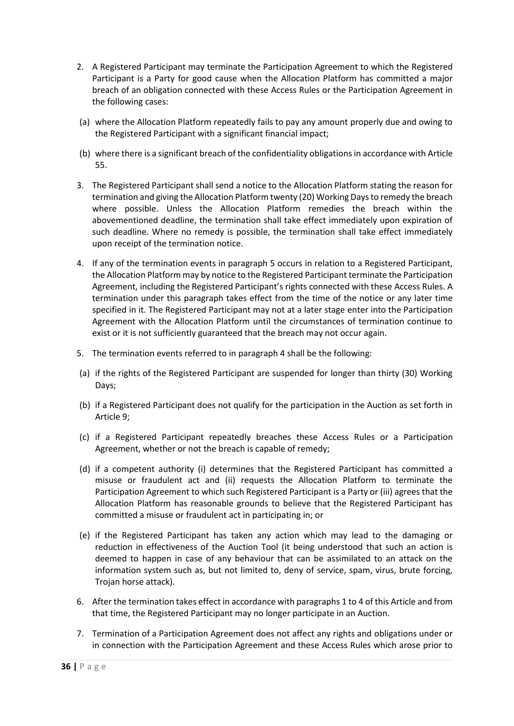- 2. A Registered Participant may terminate the Participation Agreement to which the Registered Participant is a Party for good cause when the Allocation Platform has committed a major breach of an obligation connected with these Access Rules or the Participation Agreement in the following cases:
- (a) where the Allocation Platform repeatedly fails to pay any amount properly due and owing to the Registered Participant with a significant financial impact;
- (b) where there is a significant breach of the confidentiality obligations in accordance wit[h Article](#page-37-0)  [55.](#page-37-0)
- <span id="page-35-0"></span>3. The Registered Participant shall send a notice to the Allocation Platform stating the reason for termination and giving the Allocation Platform twenty (20) Working Days to remedy the breach where possible. Unless the Allocation Platform remedies the breach within the abovementioned deadline, the termination shall take effect immediately upon expiration of such deadline. Where no remedy is possible, the termination shall take effect immediately upon receipt of the termination notice.
- <span id="page-35-1"></span>4. If any of the termination events in paragraph [5](#page-35-2) occurs in relation to a Registered Participant, the Allocation Platform may by notice to the Registered Participant terminate the Participation Agreement, including the Registered Participant's rights connected with these Access Rules. A termination under this paragraph takes effect from the time of the notice or any later time specified in it. The Registered Participant may not at a later stage enter into the Participation Agreement with the Allocation Platform until the circumstances of termination continue to exist or it is not sufficiently guaranteed that the breach may not occur again.
- <span id="page-35-2"></span>5. The termination events referred to in paragrap[h 4](#page-35-1) shall be the following:
- (a) if the rights of the Registered Participant are suspended for longer than thirty (30) Working Days;
- (b) if a Registered Participant does not qualify for the participation in the Auction as set forth in [Article 9;](#page-10-0)
- (c) if a Registered Participant repeatedly breaches these Access Rules or a Participation Agreement, whether or not the breach is capable of remedy;
- (d) if a competent authority (i) determines that the Registered Participant has committed a misuse or fraudulent act and (ii) requests the Allocation Platform to terminate the Participation Agreement to which such Registered Participant is a Party or (iii) agrees that the Allocation Platform has reasonable grounds to believe that the Registered Participant has committed a misuse or fraudulent act in participating in; or
- (e) if the Registered Participant has taken any action which may lead to the damaging or reduction in effectiveness of the Auction Tool (it being understood that such an action is deemed to happen in case of any behaviour that can be assimilated to an attack on the information system such as, but not limited to, deny of service, spam, virus, brute forcing, Trojan horse attack).
- 6. After the termination takes effect in accordance with paragraphs [1](#page-34-2) to [4](#page-35-1) of this Article and from that time, the Registered Participant may no longer participate in an Auction.
- 7. Termination of a Participation Agreement does not affect any rights and obligations under or in connection with the Participation Agreement and these Access Rules which arose prior to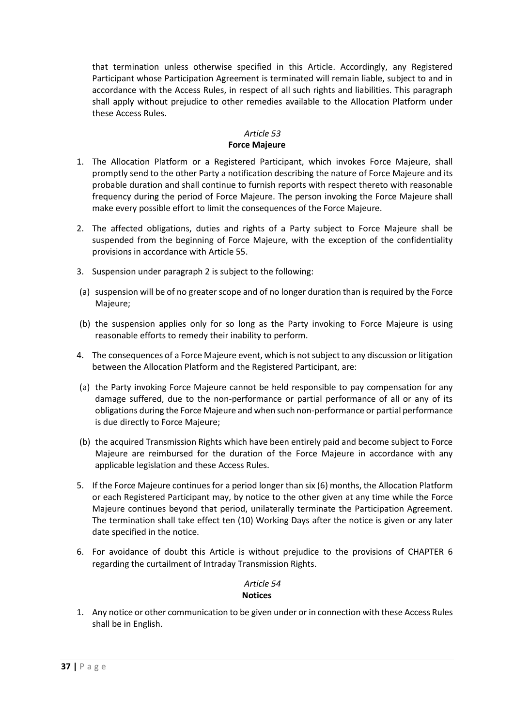that termination unless otherwise specified in this Article. Accordingly, any Registered Participant whose Participation Agreement is terminated will remain liable, subject to and in accordance with the Access Rules, in respect of all such rights and liabilities. This paragraph shall apply without prejudice to other remedies available to the Allocation Platform under these Access Rules.

### *Article 53*

### **Force Majeure**

- <span id="page-36-0"></span>1. The Allocation Platform or a Registered Participant, which invokes Force Majeure, shall promptly send to the other Party a notification describing the nature of Force Majeure and its probable duration and shall continue to furnish reports with respect thereto with reasonable frequency during the period of Force Majeure. The person invoking the Force Majeure shall make every possible effort to limit the consequences of the Force Majeure.
- <span id="page-36-2"></span>2. The affected obligations, duties and rights of a Party subject to Force Majeure shall be suspended from the beginning of Force Majeure, with the exception of the confidentiality provisions in accordance wit[h Article 55.](#page-37-0)
- 3. Suspension under paragrap[h 2](#page-36-2) is subject to the following:
- (a) suspension will be of no greater scope and of no longer duration than is required by the Force Majeure;
- (b) the suspension applies only for so long as the Party invoking to Force Majeure is using reasonable efforts to remedy their inability to perform.
- 4. The consequences of a Force Majeure event, which is not subject to any discussion or litigation between the Allocation Platform and the Registered Participant, are:
- (a) the Party invoking Force Majeure cannot be held responsible to pay compensation for any damage suffered, due to the non-performance or partial performance of all or any of its obligations during the Force Majeure and when such non-performance or partial performance is due directly to Force Majeure;
- (b) the acquired Transmission Rights which have been entirely paid and become subject to Force Majeure are reimbursed for the duration of the Force Majeure in accordance with any applicable legislation and these Access Rules.
- 5. If the Force Majeure continues for a period longer than six (6) months, the Allocation Platform or each Registered Participant may, by notice to the other given at any time while the Force Majeure continues beyond that period, unilaterally terminate the Participation Agreement. The termination shall take effect ten (10) Working Days after the notice is given or any later date specified in the notice.
- 6. For avoidance of doubt this Article is without prejudice to the provisions of [CHAPTER 6](#page-25-0) regarding the curtailment of Intraday Transmission Rights.

### *Article 54* **Notices**

<span id="page-36-1"></span>1. Any notice or other communication to be given under or in connection with these Access Rules shall be in English.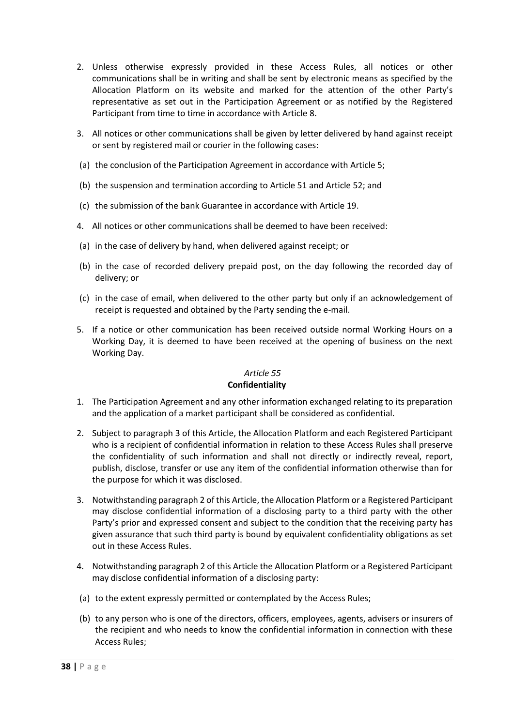- 2. Unless otherwise expressly provided in these Access Rules, all notices or other communications shall be in writing and shall be sent by electronic means as specified by the Allocation Platform on its website and marked for the attention of the other Party's representative as set out in the Participation Agreement or as notified by the Registered Participant from time to time in accordance with [Article 8.](#page-9-1)
- 3. All notices or other communications shall be given by letter delivered by hand against receipt or sent by registered mail or courier in the following cases:
- (a) the conclusion of the Participation Agreement in accordance with [Article 5;](#page-8-1)
- (b) the suspension and termination according t[o Article 51](#page-34-0) and [Article 52;](#page-34-1) and
- (c) the submission of the bank Guarantee in accordance with [Article 19.](#page-14-0)
- 4. All notices or other communications shall be deemed to have been received:
- (a) in the case of delivery by hand, when delivered against receipt; or
- (b) in the case of recorded delivery prepaid post, on the day following the recorded day of delivery; or
- (c) in the case of email, when delivered to the other party but only if an acknowledgement of receipt is requested and obtained by the Party sending the e-mail.
- 5. If a notice or other communication has been received outside normal Working Hours on a Working Day, it is deemed to have been received at the opening of business on the next Working Day.

### *Article 55* **Confidentiality**

- <span id="page-37-0"></span>1. The Participation Agreement and any other information exchanged relating to its preparation and the application of a market participant shall be considered as confidential.
- <span id="page-37-2"></span>2. Subject to paragraph [3](#page-37-1) of this Article, the Allocation Platform and each Registered Participant who is a recipient of confidential information in relation to these Access Rules shall preserve the confidentiality of such information and shall not directly or indirectly reveal, report, publish, disclose, transfer or use any item of the confidential information otherwise than for the purpose for which it was disclosed.
- <span id="page-37-1"></span>3. Notwithstanding paragrap[h 2](#page-37-2) of this Article, the Allocation Platform or a Registered Participant may disclose confidential information of a disclosing party to a third party with the other Party's prior and expressed consent and subject to the condition that the receiving party has given assurance that such third party is bound by equivalent confidentiality obligations as set out in these Access Rules.
- 4. Notwithstanding paragraph [2](#page-37-2) of this Article the Allocation Platform or a Registered Participant may disclose confidential information of a disclosing party:
- (a) to the extent expressly permitted or contemplated by the Access Rules;
- (b) to any person who is one of the directors, officers, employees, agents, advisers or insurers of the recipient and who needs to know the confidential information in connection with these Access Rules;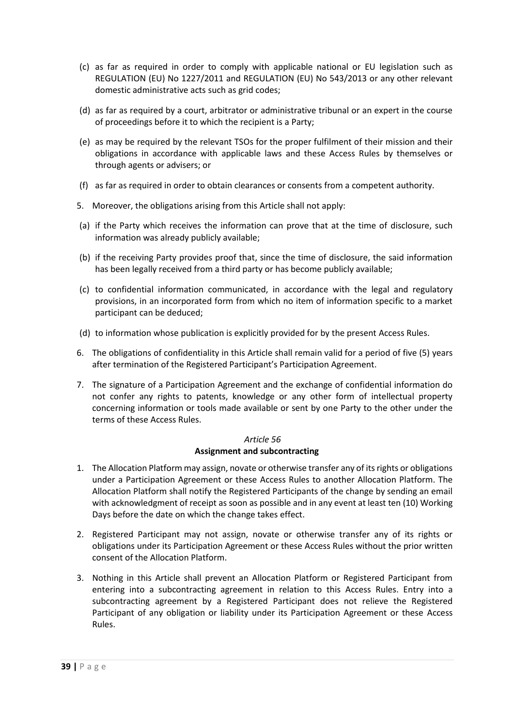- (c) as far as required in order to comply with applicable national or EU legislation such as REGULATION (EU) No 1227/2011 and REGULATION (EU) No 543/2013 or any other relevant domestic administrative acts such as grid codes;
- (d) as far as required by a court, arbitrator or administrative tribunal or an expert in the course of proceedings before it to which the recipient is a Party;
- (e) as may be required by the relevant TSOs for the proper fulfilment of their mission and their obligations in accordance with applicable laws and these Access Rules by themselves or through agents or advisers; or
- (f) as far as required in order to obtain clearances or consents from a competent authority.
- 5. Moreover, the obligations arising from this Article shall not apply:
- (a) if the Party which receives the information can prove that at the time of disclosure, such information was already publicly available;
- (b) if the receiving Party provides proof that, since the time of disclosure, the said information has been legally received from a third party or has become publicly available;
- (c) to confidential information communicated, in accordance with the legal and regulatory provisions, in an incorporated form from which no item of information specific to a market participant can be deduced;
- (d) to information whose publication is explicitly provided for by the present Access Rules.
- 6. The obligations of confidentiality in this Article shall remain valid for a period of five (5) years after termination of the Registered Participant's Participation Agreement.
- 7. The signature of a Participation Agreement and the exchange of confidential information do not confer any rights to patents, knowledge or any other form of intellectual property concerning information or tools made available or sent by one Party to the other under the terms of these Access Rules.

### *Article 56* **Assignment and subcontracting**

- <span id="page-38-0"></span>1. The Allocation Platform may assign, novate or otherwise transfer any of its rights or obligations under a Participation Agreement or these Access Rules to another Allocation Platform. The Allocation Platform shall notify the Registered Participants of the change by sending an email with acknowledgment of receipt as soon as possible and in any event at least ten (10) Working Days before the date on which the change takes effect.
- 2. Registered Participant may not assign, novate or otherwise transfer any of its rights or obligations under its Participation Agreement or these Access Rules without the prior written consent of the Allocation Platform.
- 3. Nothing in this Article shall prevent an Allocation Platform or Registered Participant from entering into a subcontracting agreement in relation to this Access Rules. Entry into a subcontracting agreement by a Registered Participant does not relieve the Registered Participant of any obligation or liability under its Participation Agreement or these Access Rules.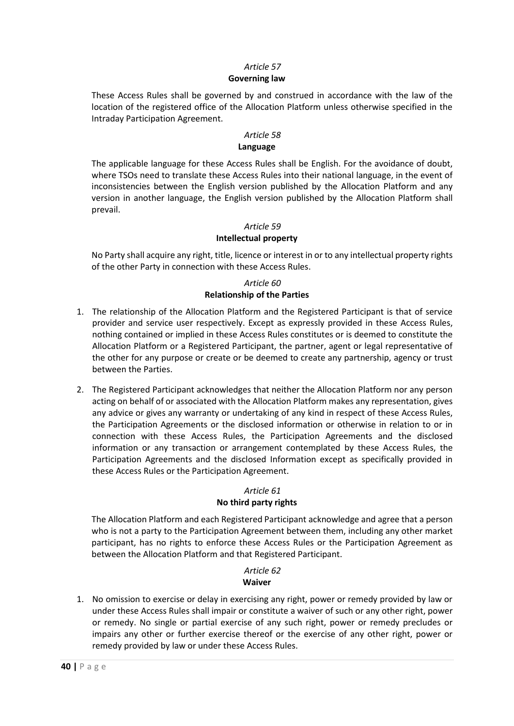### *Article 57* **Governing law**

<span id="page-39-0"></span>These Access Rules shall be governed by and construed in accordance with the law of the location of the registered office of the Allocation Platform unless otherwise specified in the Intraday Participation Agreement.

### *Article 58*

### **Language**

<span id="page-39-1"></span>The applicable language for these Access Rules shall be English. For the avoidance of doubt, where TSOs need to translate these Access Rules into their national language, in the event of inconsistencies between the English version published by the Allocation Platform and any version in another language, the English version published by the Allocation Platform shall prevail.

### *Article 59*

### **Intellectual property**

<span id="page-39-2"></span>No Party shall acquire any right, title, licence or interest in or to any intellectual property rights of the other Party in connection with these Access Rules.

### *Article 60* **Relationship of the Parties**

- <span id="page-39-3"></span>1. The relationship of the Allocation Platform and the Registered Participant is that of service provider and service user respectively. Except as expressly provided in these Access Rules, nothing contained or implied in these Access Rules constitutes or is deemed to constitute the Allocation Platform or a Registered Participant, the partner, agent or legal representative of the other for any purpose or create or be deemed to create any partnership, agency or trust between the Parties.
- 2. The Registered Participant acknowledges that neither the Allocation Platform nor any person acting on behalf of or associated with the Allocation Platform makes any representation, gives any advice or gives any warranty or undertaking of any kind in respect of these Access Rules, the Participation Agreements or the disclosed information or otherwise in relation to or in connection with these Access Rules, the Participation Agreements and the disclosed information or any transaction or arrangement contemplated by these Access Rules, the Participation Agreements and the disclosed Information except as specifically provided in these Access Rules or the Participation Agreement.

### *Article 61*

### **No third party rights**

<span id="page-39-4"></span>The Allocation Platform and each Registered Participant acknowledge and agree that a person who is not a party to the Participation Agreement between them, including any other market participant, has no rights to enforce these Access Rules or the Participation Agreement as between the Allocation Platform and that Registered Participant.

# *Article 62*

### **Waiver**

<span id="page-39-5"></span>1. No omission to exercise or delay in exercising any right, power or remedy provided by law or under these Access Rules shall impair or constitute a waiver of such or any other right, power or remedy. No single or partial exercise of any such right, power or remedy precludes or impairs any other or further exercise thereof or the exercise of any other right, power or remedy provided by law or under these Access Rules.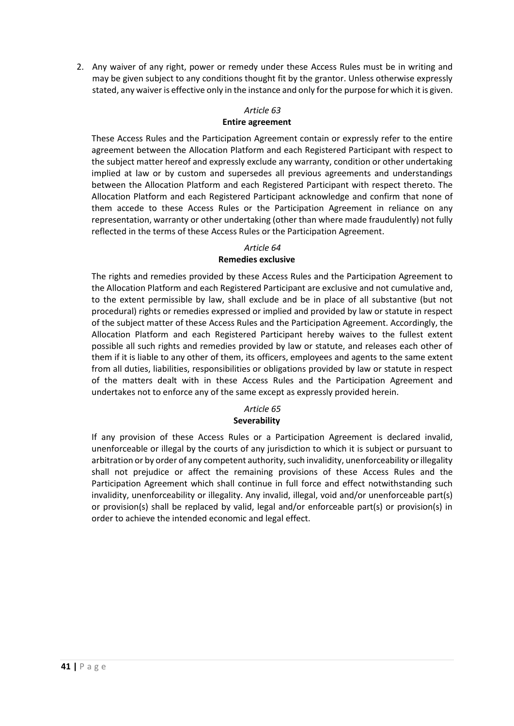2. Any waiver of any right, power or remedy under these Access Rules must be in writing and may be given subject to any conditions thought fit by the grantor. Unless otherwise expressly stated, any waiver is effective only in the instance and only for the purpose for which it is given.

### *Article 63*

#### **Entire agreement**

<span id="page-40-0"></span>These Access Rules and the Participation Agreement contain or expressly refer to the entire agreement between the Allocation Platform and each Registered Participant with respect to the subject matter hereof and expressly exclude any warranty, condition or other undertaking implied at law or by custom and supersedes all previous agreements and understandings between the Allocation Platform and each Registered Participant with respect thereto. The Allocation Platform and each Registered Participant acknowledge and confirm that none of them accede to these Access Rules or the Participation Agreement in reliance on any representation, warranty or other undertaking (other than where made fraudulently) not fully reflected in the terms of these Access Rules or the Participation Agreement.

### *Article 64*

### **Remedies exclusive**

<span id="page-40-1"></span>The rights and remedies provided by these Access Rules and the Participation Agreement to the Allocation Platform and each Registered Participant are exclusive and not cumulative and, to the extent permissible by law, shall exclude and be in place of all substantive (but not procedural) rights or remedies expressed or implied and provided by law or statute in respect of the subject matter of these Access Rules and the Participation Agreement. Accordingly, the Allocation Platform and each Registered Participant hereby waives to the fullest extent possible all such rights and remedies provided by law or statute, and releases each other of them if it is liable to any other of them, its officers, employees and agents to the same extent from all duties, liabilities, responsibilities or obligations provided by law or statute in respect of the matters dealt with in these Access Rules and the Participation Agreement and undertakes not to enforce any of the same except as expressly provided herein.

# *Article 65*

### **Severability**

<span id="page-40-2"></span>If any provision of these Access Rules or a Participation Agreement is declared invalid, unenforceable or illegal by the courts of any jurisdiction to which it is subject or pursuant to arbitration or by order of any competent authority, such invalidity, unenforceability or illegality shall not prejudice or affect the remaining provisions of these Access Rules and the Participation Agreement which shall continue in full force and effect notwithstanding such invalidity, unenforceability or illegality. Any invalid, illegal, void and/or unenforceable part(s) or provision(s) shall be replaced by valid, legal and/or enforceable part(s) or provision(s) in order to achieve the intended economic and legal effect.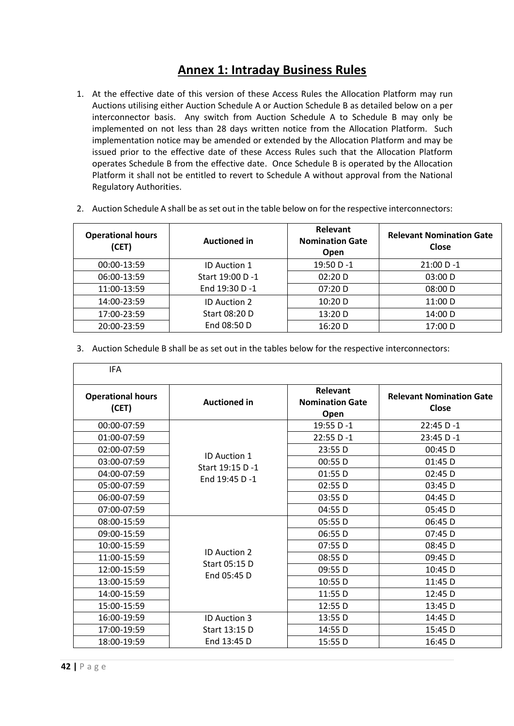# **Annex 1: Intraday Business Rules**

- 1. At the effective date of this version of these Access Rules the Allocation Platform may run Auctions utilising either Auction Schedule A or Auction Schedule B as detailed below on a per interconnector basis. Any switch from Auction Schedule A to Schedule B may only be implemented on not less than 28 days written notice from the Allocation Platform. Such implementation notice may be amended or extended by the Allocation Platform and may be issued prior to the effective date of these Access Rules such that the Allocation Platform operates Schedule B from the effective date. Once Schedule B is operated by the Allocation Platform it shall not be entitled to revert to Schedule A without approval from the National Regulatory Authorities.
- 2. Auction Schedule A shall be as set out in the table below on for the respective interconnectors:

| <b>Operational hours</b><br>(CET) | <b>Auctioned in</b> | Relevant<br><b>Nomination Gate</b><br>Open | <b>Relevant Nomination Gate</b><br><b>Close</b> |
|-----------------------------------|---------------------|--------------------------------------------|-------------------------------------------------|
| 00:00-13:59                       | <b>ID Auction 1</b> | 19:50 D -1                                 | $21:00 D - 1$                                   |
| 06:00-13:59                       | Start 19:00 D -1    | 02:20 D                                    | 03:00 D                                         |
| 11:00-13:59                       | End 19:30 D -1      | 07:20 D                                    | 08:00 D                                         |
| 14:00-23:59                       | <b>ID Auction 2</b> | $10:20$ D                                  | 11:00 D                                         |
| 17:00-23:59                       | Start 08:20 D       | 13:20 D                                    | 14:00 D                                         |
| 20:00-23:59                       | End 08:50 D         | 16:20 D                                    | 17:00 D                                         |

3. Auction Schedule B shall be as set out in the tables below for the respective interconnectors:

| <b>IFA</b>                        |                                   |                                            |                                          |  |
|-----------------------------------|-----------------------------------|--------------------------------------------|------------------------------------------|--|
| <b>Operational hours</b><br>(CET) | <b>Auctioned in</b>               | Relevant<br><b>Nomination Gate</b><br>Open | <b>Relevant Nomination Gate</b><br>Close |  |
| 00:00-07:59                       |                                   | 19:55 D-1                                  | 22:45 D-1                                |  |
| 01:00-07:59                       |                                   | 22:55 D-1                                  | 23:45 D-1                                |  |
| 02:00-07:59                       |                                   | 23:55 D                                    | 00:45 D                                  |  |
| 03:00-07:59                       | <b>ID Auction 1</b>               | 00:55 D                                    | 01:45 D                                  |  |
| 04:00-07:59                       | Start 19:15 D -1<br>End 19:45 D-1 | 01:55 D                                    | $02:45$ D                                |  |
| 05:00-07:59                       |                                   | 02:55 D                                    | $03:45$ D                                |  |
| 06:00-07:59                       |                                   | 03:55 D                                    | 04:45 D                                  |  |
| 07:00-07:59                       |                                   | 04:55 D                                    | 05:45 D                                  |  |
| 08:00-15:59                       |                                   | 05:55 D                                    | 06:45 D                                  |  |
| 09:00-15:59                       |                                   | 06:55 D                                    | $07:45$ D                                |  |
| 10:00-15:59                       |                                   | 07:55 D                                    | 08:45 D                                  |  |
| 11:00-15:59                       | <b>ID Auction 2</b>               | 08:55 D                                    | 09:45 D                                  |  |
| 12:00-15:59                       | Start 05:15 D                     | 09:55 D                                    | 10:45 D                                  |  |
| 13:00-15:59                       | End 05:45 D                       | 10:55 D                                    | 11:45 D                                  |  |
| 14:00-15:59                       |                                   | 11:55 D                                    | 12:45 D                                  |  |
| 15:00-15:59                       |                                   | 12:55 D                                    | 13:45 D                                  |  |
| 16:00-19:59                       | <b>ID Auction 3</b>               | 13:55 D                                    | 14:45 D                                  |  |
| 17:00-19:59                       | Start 13:15 D                     | 14:55 D                                    | 15:45 D                                  |  |
| 18:00-19:59                       | End 13:45 D                       | 15:55 D                                    | 16:45 D                                  |  |